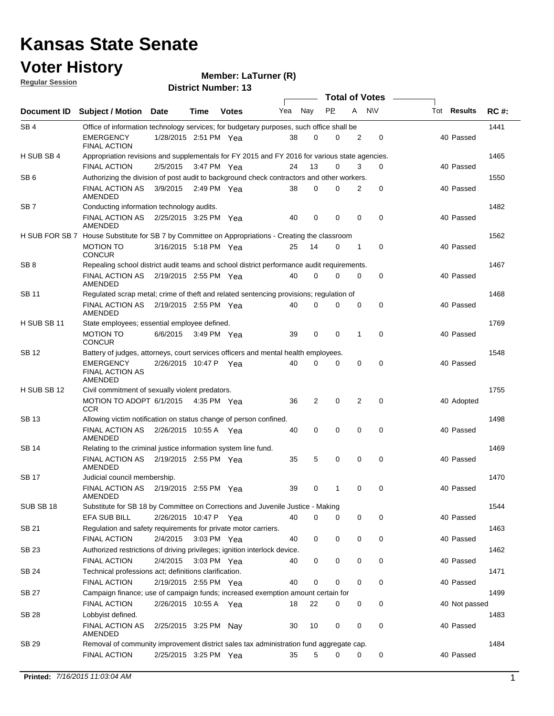### **Voter History**

**Regular Session**

**Member: LaTurner (R)** 

| <u>noquial oceanuli</u> |                                                                                                  |                       |      | <b>District Number: 13</b> |     |                |             |                |                       |                    |             |
|-------------------------|--------------------------------------------------------------------------------------------------|-----------------------|------|----------------------------|-----|----------------|-------------|----------------|-----------------------|--------------------|-------------|
|                         |                                                                                                  |                       |      |                            |     |                |             |                | <b>Total of Votes</b> |                    |             |
| Document ID             | <b>Subject / Motion Date</b>                                                                     |                       | Time | <b>Votes</b>               | Yea | Nay            | <b>PP</b>   | A              | <b>NV</b>             | Tot <b>Results</b> | <b>RC#:</b> |
| SB <sub>4</sub>         | Office of information technology services; for budgetary purposes, such office shall be          |                       |      |                            |     |                |             |                |                       |                    | 1441        |
|                         | <b>EMERGENCY</b><br><b>FINAL ACTION</b>                                                          | 1/28/2015 2:51 PM Yea |      |                            | 38  | $\mathbf 0$    | 0           | 2              | 0                     | 40 Passed          |             |
| H SUB SB 4              | Appropriation revisions and supplementals for FY 2015 and FY 2016 for various state agencies.    |                       |      |                            |     |                |             |                |                       |                    | 1465        |
|                         | <b>FINAL ACTION</b>                                                                              | 2/5/2015              |      | 3:47 PM Yea                | 24  | 13             | 0           | 3              | $\Omega$              | 40 Passed          |             |
| SB <sub>6</sub>         | Authorizing the division of post audit to background check contractors and other workers.        |                       |      |                            |     |                |             |                |                       |                    | 1550        |
|                         | <b>FINAL ACTION AS</b><br>AMENDED                                                                | 3/9/2015              |      | 2:49 PM Yea                | 38  | $\mathbf 0$    | 0           | 2              | $\mathbf 0$           | 40 Passed          |             |
| SB <sub>7</sub>         | Conducting information technology audits.                                                        |                       |      |                            |     |                |             |                |                       |                    | 1482        |
|                         | <b>FINAL ACTION AS</b><br>AMENDED                                                                | 2/25/2015 3:25 PM Yea |      |                            | 40  | $\mathbf 0$    | 0           | 0              | $\mathbf 0$           | 40 Passed          |             |
|                         | H SUB FOR SB 7 House Substitute for SB 7 by Committee on Appropriations - Creating the classroom |                       |      |                            |     |                |             |                |                       |                    | 1562        |
|                         | <b>MOTION TO</b><br><b>CONCUR</b>                                                                | 3/16/2015 5:18 PM Yea |      |                            | 25  | 14             | 0           | 1              | 0                     | 40 Passed          |             |
| SB <sub>8</sub>         | Repealing school district audit teams and school district performance audit requirements.        |                       |      |                            |     |                |             |                |                       |                    | 1467        |
|                         | <b>FINAL ACTION AS</b><br>AMENDED                                                                | 2/19/2015 2:55 PM Yea |      |                            | 40  | $\mathbf 0$    | 0           | 0              | 0                     | 40 Passed          |             |
| <b>SB11</b>             | Regulated scrap metal; crime of theft and related sentencing provisions; regulation of           |                       |      |                            |     |                |             |                |                       |                    | 1468        |
|                         | FINAL ACTION AS<br>AMENDED                                                                       | 2/19/2015 2:55 PM Yea |      |                            | 40  | $\Omega$       | $\Omega$    | 0              | $\mathbf 0$           | 40 Passed          |             |
| H SUB SB 11             | State employees; essential employee defined.                                                     |                       |      |                            |     |                |             |                |                       |                    | 1769        |
|                         | <b>MOTION TO</b><br><b>CONCUR</b>                                                                | 6/6/2015              |      | 3:49 PM Yea                | 39  | 0              | 0           | $\mathbf 1$    | 0                     | 40 Passed          |             |
| <b>SB12</b>             | Battery of judges, attorneys, court services officers and mental health employees.               |                       |      |                            |     |                |             |                |                       |                    | 1548        |
|                         | <b>EMERGENCY</b><br><b>FINAL ACTION AS</b><br>AMENDED                                            | 2/26/2015 10:47 P     |      | Yea                        | 40  | 0              | 0           | 0              | $\mathbf 0$           | 40 Passed          |             |
| H SUB SB 12             | Civil commitment of sexually violent predators.                                                  |                       |      |                            |     |                |             |                |                       |                    | 1755        |
|                         | MOTION TO ADOPT 6/1/2015 4:35 PM Yea<br><b>CCR</b>                                               |                       |      |                            | 36  | $\overline{2}$ | $\mathbf 0$ | $\overline{2}$ | $\mathbf 0$           | 40 Adopted         |             |
| <b>SB13</b>             | Allowing victim notification on status change of person confined.                                |                       |      |                            |     |                |             |                |                       |                    | 1498        |
|                         | <b>FINAL ACTION AS</b><br>AMENDED                                                                | 2/26/2015 10:55 A Yea |      |                            | 40  | 0              | 0           | 0              | 0                     | 40 Passed          |             |
| SB 14                   | Relating to the criminal justice information system line fund.                                   |                       |      |                            |     |                |             |                |                       |                    | 1469        |
|                         | FINAL ACTION AS 2/19/2015 2:55 PM Yea<br>AMENDED                                                 |                       |      |                            | 35  | 5              | 0           | 0              | 0                     | 40 Passed          |             |
| <b>SB17</b>             | Judicial council membership.                                                                     |                       |      |                            |     |                |             |                |                       |                    | 1470        |
|                         | FINAL ACTION AS  2/19/2015  2:55 PM  Yea<br>AMENDED                                              |                       |      |                            | 39  | $\Omega$       | $1 \quad$   | $\Omega$       | $\Omega$              | 40 Passed          |             |
| SUB SB 18               | Substitute for SB 18 by Committee on Corrections and Juvenile Justice - Making                   |                       |      |                            |     |                |             |                |                       |                    | 1544        |
|                         | <b>EFA SUB BILL</b>                                                                              | 2/26/2015 10:47 P Yea |      |                            | 40  | 0              | 0           | 0              | 0                     | 40 Passed          |             |
| SB 21                   | Regulation and safety requirements for private motor carriers.<br><b>FINAL ACTION</b>            | 2/4/2015              |      | 3:03 PM Yea                | 40  | 0              | 0           | 0              | 0                     | 40 Passed          | 1463        |
| <b>SB 23</b>            | Authorized restrictions of driving privileges; ignition interlock device.                        |                       |      |                            |     |                |             |                |                       |                    | 1462        |
|                         | <b>FINAL ACTION</b>                                                                              | 2/4/2015              |      | 3:03 PM Yea                | 40  | 0              | 0           | 0              | 0                     | 40 Passed          |             |
| SB 24                   | Technical professions act; definitions clarification.                                            |                       |      |                            |     |                |             |                |                       |                    | 1471        |
|                         | FINAL ACTION                                                                                     | 2/19/2015 2:55 PM Yea |      |                            | 40  | $\mathbf 0$    | 0           | 0              | 0                     | 40 Passed          |             |
| <b>SB 27</b>            | Campaign finance; use of campaign funds; increased exemption amount certain for                  |                       |      |                            |     |                |             |                |                       |                    | 1499        |
|                         | FINAL ACTION                                                                                     | 2/26/2015 10:55 A Yea |      |                            | 18  | 22             | 0           | 0              | 0                     | 40 Not passed      |             |
| <b>SB 28</b>            | Lobbyist defined.                                                                                |                       |      |                            |     |                |             |                |                       |                    | 1483        |
|                         | <b>FINAL ACTION AS</b><br>AMENDED                                                                | 2/25/2015 3:25 PM Nay |      |                            | 30  | 10             | 0           | 0              | 0                     | 40 Passed          |             |
| SB 29                   | Removal of community improvement district sales tax administration fund aggregate cap.           |                       |      |                            |     |                |             |                |                       |                    | 1484        |
|                         | <b>FINAL ACTION</b>                                                                              | 2/25/2015 3:25 PM Yea |      |                            | 35  | 5              | 0           | 0              | 0                     | 40 Passed          |             |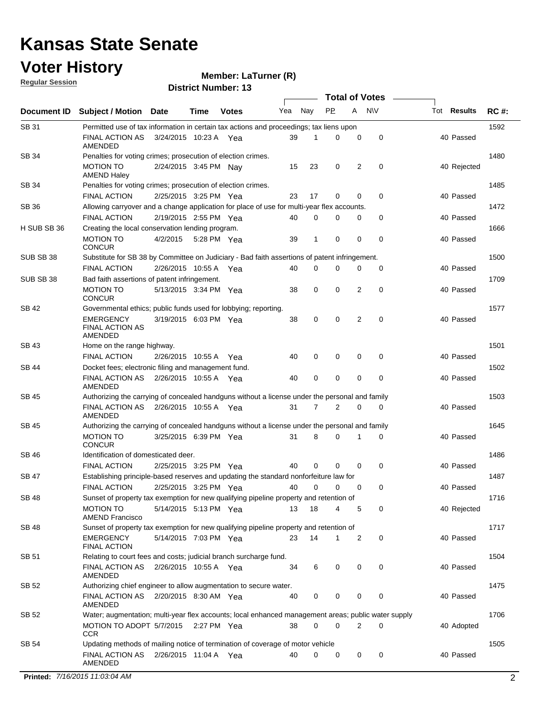### **Voter History**

**Member: LaTurner (R)** 

**Regular Session**

|              |                                                                                                     |                       |             |              |     |             | <b>Total of Votes</b> |   |           |                    |             |
|--------------|-----------------------------------------------------------------------------------------------------|-----------------------|-------------|--------------|-----|-------------|-----------------------|---|-----------|--------------------|-------------|
| Document ID  | <b>Subject / Motion</b>                                                                             | <b>Date</b>           | Time        | <b>Votes</b> | Yea | Nay         | <b>PP</b>             | A | <b>NV</b> | Tot <b>Results</b> | <b>RC#:</b> |
| SB 31        | Permitted use of tax information in certain tax actions and proceedings; tax liens upon             |                       |             |              |     |             |                       |   |           |                    | 1592        |
|              | <b>FINAL ACTION AS</b><br>AMENDED                                                                   | 3/24/2015 10:23 A Yea |             |              | 39  | 1           | 0                     | 0 | 0         | 40 Passed          |             |
| SB 34        | Penalties for voting crimes; prosecution of election crimes.                                        |                       |             |              |     |             |                       |   |           |                    | 1480        |
|              | <b>MOTION TO</b><br><b>AMEND Haley</b>                                                              | 2/24/2015 3:45 PM Nay |             |              | 15  | 23          | 0                     | 2 | 0         | 40 Rejected        |             |
| SB 34        | Penalties for voting crimes; prosecution of election crimes.                                        |                       |             |              |     |             |                       |   |           |                    | 1485        |
|              | <b>FINAL ACTION</b>                                                                                 | 2/25/2015 3:25 PM Yea |             |              | 23  | 17          | 0                     | 0 | 0         | 40 Passed          |             |
| <b>SB 36</b> | Allowing carryover and a change application for place of use for multi-year flex accounts.          |                       |             |              |     |             |                       |   |           |                    | 1472        |
|              | <b>FINAL ACTION</b>                                                                                 | 2/19/2015 2:55 PM Yea |             |              | 40  | $\Omega$    | 0                     | 0 | 0         | 40 Passed          |             |
| H SUB SB 36  | Creating the local conservation lending program.                                                    |                       |             |              |     |             |                       |   |           |                    | 1666        |
|              | MOTION TO<br><b>CONCUR</b>                                                                          | 4/2/2015              | 5:28 PM Yea |              | 39  | 1           | $\mathbf 0$           | 0 | 0         | 40 Passed          |             |
| SUB SB 38    | Substitute for SB 38 by Committee on Judiciary - Bad faith assertions of patent infringement.       |                       |             |              |     |             |                       |   |           |                    | 1500        |
|              | <b>FINAL ACTION</b>                                                                                 | 2/26/2015 10:55 A     |             | Yea          | 40  | 0           | 0                     | 0 | 0         | 40 Passed          |             |
| SUB SB 38    | Bad faith assertions of patent infringement.                                                        |                       |             |              |     |             |                       |   |           |                    | 1709        |
|              | <b>MOTION TO</b><br><b>CONCUR</b>                                                                   | 5/13/2015 3:34 PM Yea |             |              | 38  | 0           | 0                     | 2 | 0         | 40 Passed          |             |
| SB 42        | Governmental ethics; public funds used for lobbying; reporting.                                     |                       |             |              |     |             |                       |   |           |                    | 1577        |
|              | EMERGENCY<br><b>FINAL ACTION AS</b><br>AMENDED                                                      | 3/19/2015 6:03 PM Yea |             |              | 38  | 0           | 0                     | 2 | 0         | 40 Passed          |             |
| <b>SB 43</b> | Home on the range highway.                                                                          |                       |             |              |     |             |                       |   |           |                    | 1501        |
|              | <b>FINAL ACTION</b>                                                                                 | 2/26/2015 10:55 A Yea |             |              | 40  | 0           | 0                     | 0 | 0         | 40 Passed          |             |
| SB 44        | Docket fees; electronic filing and management fund.                                                 |                       |             |              |     |             |                       |   |           |                    | 1502        |
|              | <b>FINAL ACTION AS</b><br>AMENDED                                                                   | 2/26/2015 10:55 A Yea |             |              | 40  | 0           | 0                     | 0 | 0         | 40 Passed          |             |
| SB 45        | Authorizing the carrying of concealed handguns without a license under the personal and family      |                       |             |              |     |             |                       |   |           |                    | 1503        |
|              | FINAL ACTION AS<br>AMENDED                                                                          | 2/26/2015 10:55 A Yea |             |              | 31  | 7           | 2                     | 0 | 0         | 40 Passed          |             |
| SB 45        | Authorizing the carrying of concealed handguns without a license under the personal and family      |                       |             |              |     |             |                       |   |           |                    | 1645        |
|              | <b>MOTION TO</b><br><b>CONCUR</b>                                                                   | 3/25/2015 6:39 PM Yea |             |              | 31  | 8           | 0                     | 1 | 0         | 40 Passed          |             |
| <b>SB 46</b> | Identification of domesticated deer.                                                                |                       |             |              |     |             |                       |   |           |                    | 1486        |
|              | <b>FINAL ACTION</b>                                                                                 | 2/25/2015 3:25 PM Yea |             |              | 40  | $\mathbf 0$ | 0                     | 0 | 0         | 40 Passed          |             |
| <b>SB 47</b> | Establishing principle-based reserves and updating the standard nonforfeiture law for               |                       |             |              |     |             |                       |   |           |                    | 1487        |
|              | <b>FINAL ACTION</b>                                                                                 | 2/25/2015 3:25 PM Yea |             |              | 40  | $\mathbf 0$ | 0                     | 0 | 0         | 40 Passed          |             |
| <b>SB 48</b> | Sunset of property tax exemption for new qualifying pipeline property and retention of              |                       |             |              |     |             |                       |   |           |                    | 1716        |
|              | <b>MOTION TO</b><br>AMEND Francisco                                                                 | 5/14/2015 5:13 PM Yea |             |              | 13  | 18          | 4                     | 5 | 0         | 40 Rejected        |             |
| SB 48        | Sunset of property tax exemption for new qualifying pipeline property and retention of              |                       |             |              |     |             |                       |   |           |                    | 1717        |
|              | EMERGENCY<br><b>FINAL ACTION</b>                                                                    | 5/14/2015 7:03 PM Yea |             |              | 23  | 14          | 1                     | 2 | 0         | 40 Passed          |             |
| <b>SB 51</b> | Relating to court fees and costs; judicial branch surcharge fund.                                   |                       |             |              |     |             |                       |   |           |                    | 1504        |
|              | FINAL ACTION AS 2/26/2015 10:55 A Yea<br>AMENDED                                                    |                       |             |              | 34  | 6           | 0                     | 0 | 0         | 40 Passed          |             |
| SB 52        | Authorizing chief engineer to allow augmentation to secure water.                                   |                       |             |              |     |             |                       |   |           |                    | 1475        |
|              | FINAL ACTION AS 2/20/2015 8:30 AM Yea<br>AMENDED                                                    |                       |             |              | 40  | 0           | 0                     | 0 | 0         | 40 Passed          |             |
| SB 52        | Water; augmentation; multi-year flex accounts; local enhanced management areas; public water supply |                       |             |              |     |             |                       |   |           |                    | 1706        |
|              | MOTION TO ADOPT 5/7/2015 2:27 PM Yea<br><b>CCR</b>                                                  |                       |             |              | 38  | $\mathbf 0$ | 0                     | 2 | 0         | 40 Adopted         |             |
| SB 54        | Updating methods of mailing notice of termination of coverage of motor vehicle                      |                       |             |              |     |             |                       |   |           |                    | 1505        |
|              | FINAL ACTION AS  2/26/2015  11:04 A  Yea<br>AMENDED                                                 |                       |             |              | 40  | 0           | 0                     | 0 | 0         | 40 Passed          |             |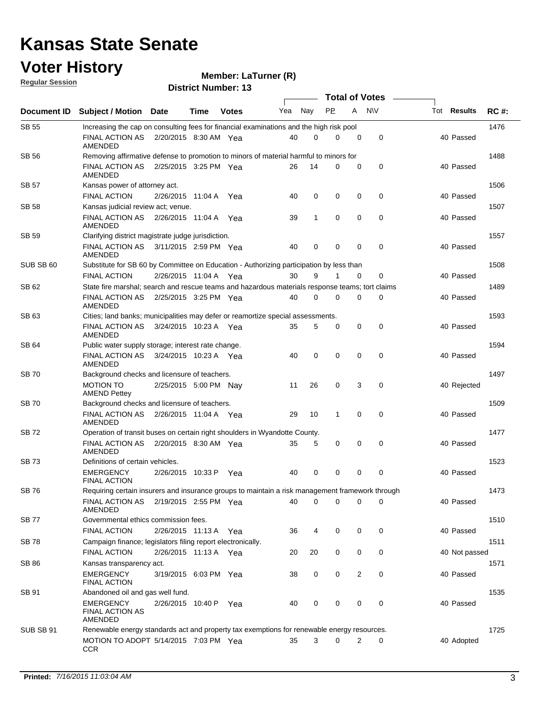#### **Voter History Regular Session**

**Member: LaTurner (R)** 

|              |                                                                                                 |                       |      |              |     |              | <b>Total of Votes</b> |             |             |                    |             |
|--------------|-------------------------------------------------------------------------------------------------|-----------------------|------|--------------|-----|--------------|-----------------------|-------------|-------------|--------------------|-------------|
|              | Document ID Subject / Motion Date                                                               |                       | Time | <b>Votes</b> | Yea | Nay          | <b>PP</b>             | A NW        |             | Tot <b>Results</b> | <b>RC#:</b> |
| <b>SB 55</b> | Increasing the cap on consulting fees for financial examinations and the high risk pool         |                       |      |              |     |              |                       |             |             |                    | 1476        |
|              | <b>FINAL ACTION AS</b><br>AMENDED                                                               | 2/20/2015 8:30 AM Yea |      |              | 40  | 0            | $\Omega$              | 0           | 0           | 40 Passed          |             |
| <b>SB 56</b> | Removing affirmative defense to promotion to minors of material harmful to minors for           |                       |      |              |     |              |                       |             |             |                    | 1488        |
|              | FINAL ACTION AS<br>AMENDED                                                                      | 2/25/2015 3:25 PM Yea |      |              | 26  | 14           | 0                     | 0           | 0           | 40 Passed          |             |
| SB 57        | Kansas power of attorney act.                                                                   |                       |      |              |     |              |                       |             |             |                    | 1506        |
|              | <b>FINAL ACTION</b>                                                                             | 2/26/2015 11:04 A     |      | Yea          | 40  | 0            | 0                     | 0           | $\mathbf 0$ | 40 Passed          |             |
| SB 58        | Kansas judicial review act; venue.                                                              |                       |      |              |     |              |                       |             |             |                    | 1507        |
|              | FINAL ACTION AS<br>AMENDED                                                                      | 2/26/2015 11:04 A Yea |      |              | 39  | $\mathbf{1}$ | $\mathbf 0$           | $\mathbf 0$ | 0           | 40 Passed          |             |
| SB 59        | Clarifying district magistrate judge jurisdiction.                                              |                       |      |              |     |              |                       |             |             |                    | 1557        |
|              | FINAL ACTION AS<br>AMENDED                                                                      | 3/11/2015 2:59 PM Yea |      |              | 40  | 0            | 0                     | 0           | 0           | 40 Passed          |             |
| SUB SB 60    | Substitute for SB 60 by Committee on Education - Authorizing participation by less than         |                       |      |              |     |              |                       |             |             |                    | 1508        |
|              | <b>FINAL ACTION</b>                                                                             | 2/26/2015 11:04 A Yea |      |              | 30  | 9            | 1                     | 0           | 0           | 40 Passed          |             |
| SB 62        | State fire marshal; search and rescue teams and hazardous materials response teams; tort claims |                       |      |              |     |              |                       |             |             |                    | 1489        |
|              | <b>FINAL ACTION AS</b><br>AMENDED                                                               | 2/25/2015 3:25 PM Yea |      |              | 40  | $\mathbf 0$  | $\mathbf 0$           | 0           | 0           | 40 Passed          |             |
| SB 63        | Cities; land banks; municipalities may defer or reamortize special assessments.                 |                       |      |              |     |              |                       |             |             |                    | 1593        |
|              | FINAL ACTION AS<br>AMENDED                                                                      | 3/24/2015 10:23 A Yea |      |              | 35  | 5            | 0                     | 0           | 0           | 40 Passed          |             |
| SB 64        | Public water supply storage; interest rate change.                                              |                       |      |              |     |              |                       |             |             |                    | 1594        |
|              | FINAL ACTION AS<br>AMENDED                                                                      | 3/24/2015 10:23 A Yea |      |              | 40  | $\mathbf 0$  | 0                     | 0           | $\mathbf 0$ | 40 Passed          |             |
| <b>SB 70</b> | Background checks and licensure of teachers.                                                    |                       |      |              |     |              |                       |             |             |                    | 1497        |
|              | <b>MOTION TO</b><br><b>AMEND Pettey</b>                                                         | 2/25/2015 5:00 PM Nav |      |              | 11  | 26           | 0                     | 3           | 0           | 40 Rejected        |             |
| <b>SB 70</b> | Background checks and licensure of teachers.                                                    |                       |      |              |     |              |                       |             |             |                    | 1509        |
|              | FINAL ACTION AS 2/26/2015 11:04 A Yea<br>AMENDED                                                |                       |      |              | 29  | 10           | 1                     | 0           | $\mathbf 0$ | 40 Passed          |             |
| SB 72        | Operation of transit buses on certain right shoulders in Wyandotte County.                      |                       |      |              |     |              |                       |             |             |                    | 1477        |
|              | <b>FINAL ACTION AS</b><br>AMENDED                                                               | 2/20/2015 8:30 AM Yea |      |              | 35  | 5            | 0                     | 0           | $\mathbf 0$ | 40 Passed          |             |
| SB 73        | Definitions of certain vehicles.                                                                |                       |      |              |     |              |                       |             |             |                    | 1523        |
|              | <b>EMERGENCY</b><br><b>FINAL ACTION</b>                                                         | 2/26/2015 10:33 P     |      | Yea          | 40  | 0            | 0                     | 0           | $\pmb{0}$   | 40 Passed          |             |
| <b>SB76</b>  | Requiring certain insurers and insurance groups to maintain a risk management framework through |                       |      |              |     |              |                       |             |             |                    | 1473        |
|              | FINAL ACTION AS 2/19/2015 2:55 PM Yea<br><b>AMENDED</b>                                         |                       |      |              | 40  | 0            | 0                     | 0           | 0           | 40 Passed          |             |
| <b>SB77</b>  | Governmental ethics commission fees.                                                            |                       |      |              |     |              |                       |             |             |                    | 1510        |
|              | <b>FINAL ACTION</b>                                                                             | 2/26/2015 11:13 A Yea |      |              | 36  | 4            | 0                     | 0           | 0           | 40 Passed          |             |
| SB 78        | Campaign finance; legislators filing report electronically.                                     |                       |      |              |     |              |                       |             |             |                    | 1511        |
|              | <b>FINAL ACTION</b>                                                                             | 2/26/2015 11:13 A Yea |      |              | 20  | 20           | 0                     | 0           | 0           | 40 Not passed      |             |
| SB 86        | Kansas transparency act.                                                                        |                       |      |              |     |              |                       |             |             |                    | 1571        |
|              | EMERGENCY<br><b>FINAL ACTION</b>                                                                | 3/19/2015 6:03 PM Yea |      |              | 38  | 0            | 0                     | 2           | $\mathbf 0$ | 40 Passed          |             |
| SB 91        | Abandoned oil and gas well fund.                                                                |                       |      |              |     |              |                       |             |             |                    | 1535        |
|              | <b>EMERGENCY</b><br><b>FINAL ACTION AS</b><br>AMENDED                                           | 2/26/2015 10:40 P Yea |      |              | 40  | 0            | 0                     | 0           | 0           | 40 Passed          |             |
| SUB SB 91    | Renewable energy standards act and property tax exemptions for renewable energy resources.      |                       |      |              |     |              |                       |             |             |                    | 1725        |
|              | MOTION TO ADOPT 5/14/2015 7:03 PM Yea<br><b>CCR</b>                                             |                       |      |              | 35  | 3            | 0                     | 2           | 0           | 40 Adopted         |             |
|              |                                                                                                 |                       |      |              |     |              |                       |             |             |                    |             |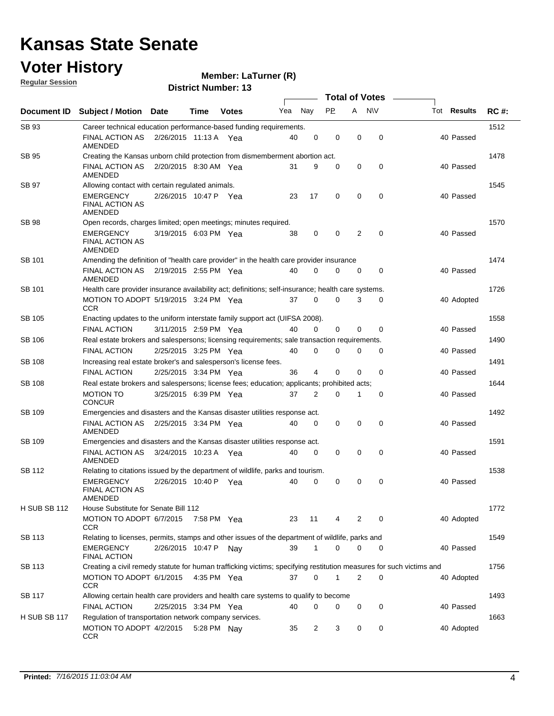#### **Voter History**

**Regular Session**

**Member: LaTurner (R)** 

| <u>INGUMAL OGGSION</u> |                                                                                                                     |                       |             | <b>District Number: 13</b> |     |                |             |             |                       |                    |             |
|------------------------|---------------------------------------------------------------------------------------------------------------------|-----------------------|-------------|----------------------------|-----|----------------|-------------|-------------|-----------------------|--------------------|-------------|
|                        |                                                                                                                     |                       |             |                            |     |                |             |             | <b>Total of Votes</b> |                    |             |
| Document ID            | <b>Subject / Motion Date</b>                                                                                        |                       | Time        | <b>Votes</b>               | Yea | Nay            | <b>PP</b>   | A           | <b>NV</b>             | Tot <b>Results</b> | <b>RC#:</b> |
| SB 93                  | Career technical education performance-based funding requirements.                                                  |                       |             |                            |     |                |             |             |                       |                    | 1512        |
|                        | FINAL ACTION AS<br>AMENDED                                                                                          | 2/26/2015 11:13 A Yea |             |                            | 40  | 0              | 0           | $\mathbf 0$ | $\mathbf 0$           | 40 Passed          |             |
| SB 95                  | Creating the Kansas unborn child protection from dismemberment abortion act.                                        |                       |             |                            |     |                |             |             |                       |                    | 1478        |
|                        | FINAL ACTION AS<br>AMENDED                                                                                          | 2/20/2015 8:30 AM Yea |             |                            | 31  | 9              | 0           | 0           | 0                     | 40 Passed          |             |
| SB 97                  | Allowing contact with certain regulated animals.                                                                    |                       |             |                            |     |                |             |             |                       |                    | 1545        |
|                        | <b>EMERGENCY</b><br><b>FINAL ACTION AS</b><br>AMENDED                                                               | 2/26/2015 10:47 P Yea |             |                            | 23  | 17             | $\mathbf 0$ | 0           | 0                     | 40 Passed          |             |
| <b>SB 98</b>           | Open records, charges limited; open meetings; minutes required.                                                     |                       |             |                            |     |                |             |             |                       |                    | 1570        |
|                        | <b>EMERGENCY</b><br><b>FINAL ACTION AS</b><br>AMENDED                                                               | 3/19/2015 6:03 PM Yea |             |                            | 38  | 0              | 0           | 2           | 0                     | 40 Passed          |             |
| SB 101                 | Amending the definition of "health care provider" in the health care provider insurance                             |                       |             |                            |     |                |             |             |                       |                    | 1474        |
|                        | FINAL ACTION AS<br>AMENDED                                                                                          | 2/19/2015 2:55 PM Yea |             |                            | 40  | 0              | 0           | 0           | 0                     | 40 Passed          |             |
| SB 101                 | Health care provider insurance availability act; definitions; self-insurance; health care systems.                  |                       |             |                            |     |                |             |             |                       |                    | 1726        |
|                        | MOTION TO ADOPT 5/19/2015 3:24 PM Yea<br><b>CCR</b>                                                                 |                       |             |                            | 37  | 0              | 0           | 3           | 0                     | 40 Adopted         |             |
| SB 105                 | Enacting updates to the uniform interstate family support act (UIFSA 2008).                                         |                       |             |                            |     |                |             |             |                       |                    | 1558        |
|                        | <b>FINAL ACTION</b>                                                                                                 | 3/11/2015 2:59 PM Yea |             |                            | 40  | 0              | 0           | 0           | 0                     | 40 Passed          |             |
| SB 106                 | Real estate brokers and salespersons; licensing requirements; sale transaction requirements.                        |                       |             |                            |     |                |             |             |                       |                    | 1490        |
|                        | <b>FINAL ACTION</b>                                                                                                 | 2/25/2015 3:25 PM Yea |             |                            | 40  | 0              | 0           | 0           | 0                     | 40 Passed          |             |
| <b>SB 108</b>          | Increasing real estate broker's and salesperson's license fees.                                                     |                       |             |                            |     |                |             |             |                       |                    | 1491        |
|                        | <b>FINAL ACTION</b>                                                                                                 | 2/25/2015 3:34 PM Yea |             |                            | 36  | 4              | 0           | 0           | 0                     | 40 Passed          |             |
| <b>SB 108</b>          | Real estate brokers and salespersons; license fees; education; applicants; prohibited acts;                         |                       |             |                            |     |                |             |             |                       |                    | 1644        |
|                        | <b>MOTION TO</b><br><b>CONCUR</b>                                                                                   | 3/25/2015 6:39 PM Yea |             |                            | 37  | 2              | 0           |             | 0                     | 40 Passed          |             |
| SB 109                 | Emergencies and disasters and the Kansas disaster utilities response act.                                           |                       |             |                            |     |                |             |             |                       |                    | 1492        |
|                        | FINAL ACTION AS<br>AMENDED                                                                                          | 2/25/2015 3:34 PM Yea |             |                            | 40  | 0              | 0           | 0           | 0                     | 40 Passed          |             |
| SB 109                 | Emergencies and disasters and the Kansas disaster utilities response act.                                           |                       |             |                            |     |                |             |             |                       |                    | 1591        |
|                        | FINAL ACTION AS<br>AMENDED                                                                                          | 3/24/2015 10:23 A Yea |             |                            | 40  | 0              | 0           | 0           | 0                     | 40 Passed          |             |
| SB 112                 | Relating to citations issued by the department of wildlife, parks and tourism.                                      |                       |             |                            |     |                |             |             |                       |                    | 1538        |
|                        | <b>EMERGENCY</b><br>FINAL ACTION AS<br><b>AMENDED</b>                                                               | 2/26/2015 10:40 P Yea |             |                            | 40  | 0              | 0           | 0           | 0                     | 40 Passed          |             |
| <b>H SUB SB 112</b>    | House Substitute for Senate Bill 112                                                                                |                       |             |                            |     |                |             |             |                       |                    | 1772        |
|                        | MOTION TO ADOPT 6/7/2015<br><b>CCR</b>                                                                              |                       | 7:58 PM Yea |                            | 23  | 11             | 4           | 2           | 0                     | 40 Adopted         |             |
| SB 113                 | Relating to licenses, permits, stamps and other issues of the department of wildlife, parks and                     |                       |             |                            |     |                |             |             |                       |                    | 1549        |
|                        | <b>EMERGENCY</b><br><b>FINAL ACTION</b>                                                                             | 2/26/2015 10:47 P     |             | Nav                        | 39  | $\mathbf{1}$   | 0           | 0           | 0                     | 40 Passed          |             |
| SB 113                 | Creating a civil remedy statute for human trafficking victims; specifying restitution measures for such victims and |                       |             |                            |     |                |             |             |                       |                    | 1756        |
|                        | MOTION TO ADOPT 6/1/2015 4:35 PM Yea<br><b>CCR</b>                                                                  |                       |             |                            | 37  | 0              | 1           | 2           | 0                     | 40 Adopted         |             |
| SB 117                 | Allowing certain health care providers and health care systems to qualify to become                                 |                       |             |                            |     |                |             |             |                       |                    | 1493        |
|                        | <b>FINAL ACTION</b>                                                                                                 | 2/25/2015 3:34 PM Yea |             |                            | 40  | 0              | 0           | 0           | 0                     | 40 Passed          |             |
| <b>H SUB SB 117</b>    | Regulation of transportation network company services.                                                              |                       |             |                            |     |                |             |             |                       |                    | 1663        |
|                        | MOTION TO ADOPT 4/2/2015<br><b>CCR</b>                                                                              |                       | 5:28 PM Nay |                            | 35  | $\overline{2}$ | 3           | 0           | 0                     | 40 Adopted         |             |
|                        |                                                                                                                     |                       |             |                            |     |                |             |             |                       |                    |             |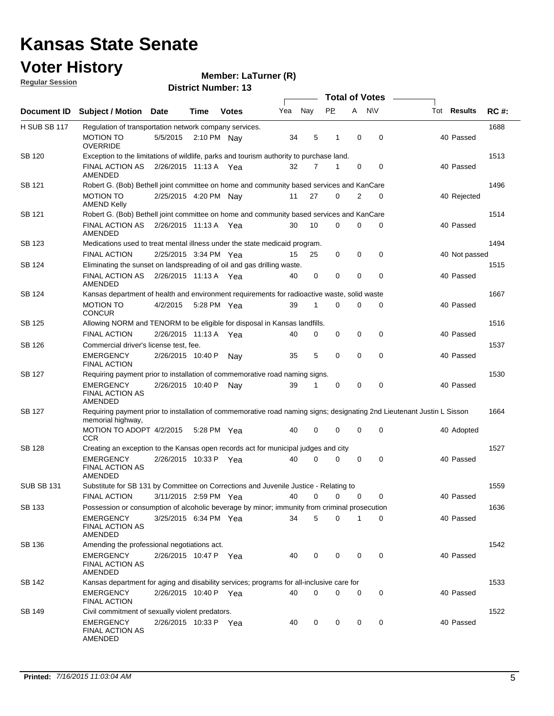### **Voter History**

**Member: LaTurner (R)** 

**Regular Session**

|                     |                                                                                                                                             |                       |             |                       |     |             |             |              | <b>Total of Votes</b> |                    |             |
|---------------------|---------------------------------------------------------------------------------------------------------------------------------------------|-----------------------|-------------|-----------------------|-----|-------------|-------------|--------------|-----------------------|--------------------|-------------|
| Document ID         | Subject / Motion Date                                                                                                                       |                       | Time        | <b>Votes</b>          | Yea | Nay         | <b>PP</b>   | A            | <b>NV</b>             | Tot <b>Results</b> | <b>RC#:</b> |
| <b>H SUB SB 117</b> | Regulation of transportation network company services.                                                                                      |                       |             |                       |     |             |             |              |                       |                    | 1688        |
|                     | MOTION TO<br>OVERRIDE                                                                                                                       | 5/5/2015              | 2:10 PM Nay |                       | 34  | 5           | 1           | 0            | 0                     | 40 Passed          |             |
| SB 120              | Exception to the limitations of wildlife, parks and tourism authority to purchase land.                                                     |                       |             |                       |     |             |             |              |                       |                    | 1513        |
|                     | FINAL ACTION AS  2/26/2015  11:13 A  Yea<br>AMENDED                                                                                         |                       |             |                       | 32  | 7           | 1           | 0            | 0                     | 40 Passed          |             |
| SB 121              | Robert G. (Bob) Bethell joint committee on home and community based services and KanCare                                                    |                       |             |                       |     |             |             |              |                       |                    | 1496        |
|                     | <b>MOTION TO</b><br><b>AMEND Kelly</b>                                                                                                      | 2/25/2015 4:20 PM Nay |             |                       | 11  | 27          | $\Omega$    | 2            | $\mathbf 0$           | 40 Rejected        |             |
| SB 121              | Robert G. (Bob) Bethell joint committee on home and community based services and KanCare                                                    |                       |             |                       |     |             |             |              |                       |                    | 1514        |
|                     | FINAL ACTION AS  2/26/2015  11:13 A  Yea<br>AMENDED                                                                                         |                       |             |                       | 30  | 10          | $\mathbf 0$ | 0            | 0                     | 40 Passed          |             |
| SB 123              | Medications used to treat mental illness under the state medicaid program.                                                                  |                       |             |                       |     |             |             |              |                       |                    | 1494        |
|                     | <b>FINAL ACTION</b>                                                                                                                         | 2/25/2015 3:34 PM Yea |             |                       | 15  | 25          | 0           | 0            | 0                     | 40 Not passed      |             |
| SB 124              | Eliminating the sunset on landspreading of oil and gas drilling waste.                                                                      |                       |             |                       |     |             |             |              |                       |                    | 1515        |
|                     | <b>FINAL ACTION AS</b><br>AMENDED                                                                                                           | 2/26/2015 11:13 A Yea |             |                       | 40  | 0           | 0           | 0            | 0                     | 40 Passed          |             |
| SB 124              | Kansas department of health and environment requirements for radioactive waste, solid waste                                                 |                       |             |                       |     |             |             |              |                       |                    | 1667        |
|                     | MOTION TO<br><b>CONCUR</b>                                                                                                                  | 4/2/2015 5:28 PM Yea  |             |                       | 39  | 1           | $\Omega$    | 0            | 0                     | 40 Passed          |             |
| SB 125              | Allowing NORM and TENORM to be eligible for disposal in Kansas landfills.                                                                   |                       |             |                       |     |             |             |              |                       |                    | 1516        |
|                     | <b>FINAL ACTION</b>                                                                                                                         | 2/26/2015 11:13 A     |             | Yea                   | 40  | 0           | 0           | 0            | 0                     | 40 Passed          |             |
| SB 126              | Commercial driver's license test, fee.                                                                                                      |                       |             |                       |     |             |             |              |                       |                    | 1537        |
|                     | EMERGENCY<br><b>FINAL ACTION</b>                                                                                                            | 2/26/2015 10:40 P     |             | Nav                   | 35  | 5           | 0           | 0            | 0                     | 40 Passed          |             |
| SB 127              | Requiring payment prior to installation of commemorative road naming signs.                                                                 |                       |             |                       |     |             |             |              |                       |                    | 1530        |
|                     | EMERGENCY<br><b>FINAL ACTION AS</b><br>AMENDED                                                                                              | 2/26/2015 10:40 P     |             | Nav                   | 39  | 1           | 0           | 0            | 0                     | 40 Passed          |             |
| <b>SB 127</b>       | Requiring payment prior to installation of commemorative road naming signs; designating 2nd Lieutenant Justin L Sisson<br>memorial highway, |                       |             |                       |     |             |             |              |                       |                    | 1664        |
|                     | MOTION TO ADOPT 4/2/2015 5:28 PM Yea<br>CCR                                                                                                 |                       |             |                       | 40  | 0           | 0           | 0            | 0                     | 40 Adopted         |             |
| SB 128              | Creating an exception to the Kansas open records act for municipal judges and city                                                          |                       |             |                       |     |             |             |              |                       |                    | 1527        |
|                     | <b>EMERGENCY</b><br>FINAL ACTION AS<br>AMENDED                                                                                              | 2/26/2015 10:33 P Yea |             |                       | 40  | $\mathbf 0$ | 0           | 0            | 0                     | 40 Passed          |             |
| <b>SUB SB 131</b>   | Substitute for SB 131 by Committee on Corrections and Juvenile Justice - Relating to                                                        |                       |             |                       |     |             |             |              |                       |                    | 1559        |
|                     | FINAL ACTION                                                                                                                                |                       |             | 3/11/2015 2:59 PM Yea |     |             | 40 0 0 0    |              | $\mathbf{0}$          | 40 Passed          |             |
| SB 133              | Possession or consumption of alcoholic beverage by minor; immunity from criminal prosecution                                                |                       |             |                       |     |             |             |              |                       |                    | 1636        |
|                     | <b>EMERGENCY</b><br>FINAL ACTION AS<br>AMENDED                                                                                              | 3/25/2015 6:34 PM Yea |             |                       | 34  | 5           | $\Omega$    | $\mathbf{1}$ | 0                     | 40 Passed          |             |
| SB 136              | Amending the professional negotiations act.                                                                                                 |                       |             |                       |     |             |             |              |                       |                    | 1542        |
|                     | <b>EMERGENCY</b><br><b>FINAL ACTION AS</b><br>AMENDED                                                                                       | 2/26/2015 10:47 P Yea |             |                       | 40  | 0           | 0           | 0            | 0                     | 40 Passed          |             |
| SB 142              | Kansas department for aging and disability services; programs for all-inclusive care for                                                    |                       |             |                       |     |             |             |              |                       |                    | 1533        |
|                     | EMERGENCY<br><b>FINAL ACTION</b>                                                                                                            | 2/26/2015 10:40 P Yea |             |                       | 40  | $\mathbf 0$ | 0           | 0            | 0                     | 40 Passed          |             |
| SB 149              | Civil commitment of sexually violent predators.                                                                                             |                       |             |                       |     |             |             |              |                       |                    | 1522        |
|                     | <b>EMERGENCY</b><br>FINAL ACTION AS<br>AMENDED                                                                                              | 2/26/2015 10:33 P Yea |             |                       | 40  | 0           | 0           | 0            | 0                     | 40 Passed          |             |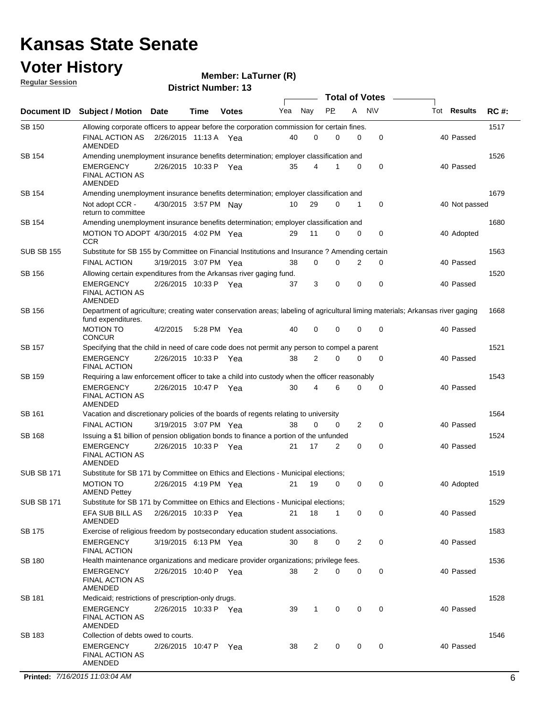### **Voter History**

**Regular Session**

#### **Member: LaTurner (R)**

**District Number: 13**

|                    |                                                                                                                                                      |                       |             |              |     |                      | <b>Total of Votes</b> |             |             |                    |             |
|--------------------|------------------------------------------------------------------------------------------------------------------------------------------------------|-----------------------|-------------|--------------|-----|----------------------|-----------------------|-------------|-------------|--------------------|-------------|
| <b>Document ID</b> | <b>Subject / Motion Date</b>                                                                                                                         |                       | Time        | <b>Votes</b> | Yea | Nay                  | <b>PP</b>             | A           | <b>NV</b>   | Tot <b>Results</b> | <b>RC#:</b> |
| <b>SB 150</b>      | Allowing corporate officers to appear before the corporation commission for certain fines.                                                           |                       |             |              |     |                      |                       |             |             |                    | 1517        |
|                    | <b>FINAL ACTION AS</b><br>AMENDED                                                                                                                    | 2/26/2015 11:13 A Yea |             |              |     | 0<br>40              | 0                     | 0           | $\mathbf 0$ | 40 Passed          |             |
| SB 154             | Amending unemployment insurance benefits determination; employer classification and                                                                  |                       |             |              |     |                      |                       |             |             |                    | 1526        |
|                    | <b>EMERGENCY</b><br><b>FINAL ACTION AS</b><br><b>AMENDED</b>                                                                                         | 2/26/2015 10:33 P     |             | Yea          |     | 35<br>4              | 1                     | 0           | 0           | 40 Passed          |             |
| SB 154             | Amending unemployment insurance benefits determination; employer classification and                                                                  |                       |             |              |     |                      |                       |             |             |                    | 1679        |
|                    | Not adopt CCR -<br>return to committee                                                                                                               | 4/30/2015 3:57 PM Nav |             |              |     | 29<br>10             | 0                     | 1           | 0           | 40 Not passed      |             |
| SB 154             | Amending unemployment insurance benefits determination; employer classification and                                                                  |                       |             |              |     |                      |                       |             |             |                    | 1680        |
|                    | MOTION TO ADOPT 4/30/2015 4:02 PM Yea<br><b>CCR</b>                                                                                                  |                       |             |              |     | 11<br>29             | 0                     | 0           | 0           | 40 Adopted         |             |
| <b>SUB SB 155</b>  | Substitute for SB 155 by Committee on Financial Institutions and Insurance? Amending certain                                                         |                       |             |              |     |                      |                       |             |             |                    | 1563        |
|                    | <b>FINAL ACTION</b>                                                                                                                                  | 3/19/2015 3:07 PM Yea |             |              |     | $\mathbf 0$<br>38    | 0                     | 2           | 0           | 40 Passed          |             |
| SB 156             | Allowing certain expenditures from the Arkansas river gaging fund.                                                                                   |                       |             |              |     |                      |                       |             |             |                    | 1520        |
|                    | <b>EMERGENCY</b><br><b>FINAL ACTION AS</b><br>AMENDED                                                                                                | 2/26/2015 10:33 P Yea |             |              |     | 3<br>37              | 0                     | 0           | $\mathbf 0$ | 40 Passed          |             |
| SB 156             | Department of agriculture; creating water conservation areas; labeling of agricultural liming materials; Arkansas river gaging<br>fund expenditures. |                       |             |              |     |                      |                       |             |             |                    | 1668        |
|                    | <b>MOTION TO</b><br><b>CONCUR</b>                                                                                                                    | 4/2/2015              | 5:28 PM Yea |              |     | $\mathbf 0$<br>40    | $\mathbf 0$           | 0           | $\mathbf 0$ | 40 Passed          |             |
| <b>SB 157</b>      | Specifying that the child in need of care code does not permit any person to compel a parent                                                         |                       |             |              |     |                      |                       |             |             |                    | 1521        |
|                    | <b>EMERGENCY</b><br><b>FINAL ACTION</b>                                                                                                              | 2/26/2015 10:33 P Yea |             |              |     | $\overline{2}$<br>38 | $\Omega$              | 0           | 0           | 40 Passed          |             |
| SB 159             | Requiring a law enforcement officer to take a child into custody when the officer reasonably                                                         |                       |             |              |     |                      |                       |             |             |                    | 1543        |
|                    | <b>EMERGENCY</b><br><b>FINAL ACTION AS</b><br>AMENDED                                                                                                | 2/26/2015 10:47 P     |             | Yea          |     | 4<br>30              | 6                     | 0           | $\mathbf 0$ | 40 Passed          |             |
| SB 161             | Vacation and discretionary policies of the boards of regents relating to university                                                                  |                       |             |              |     |                      |                       |             |             |                    | 1564        |
|                    | <b>FINAL ACTION</b>                                                                                                                                  | 3/19/2015 3:07 PM Yea |             |              |     | $\mathbf 0$<br>38    | 0                     | 2           | 0           | 40 Passed          |             |
| SB 168             | Issuing a \$1 billion of pension obligation bonds to finance a portion of the unfunded                                                               |                       |             |              |     |                      |                       |             |             |                    | 1524        |
|                    | <b>EMERGENCY</b><br><b>FINAL ACTION AS</b><br><b>AMENDED</b>                                                                                         | 2/26/2015 10:33 P Yea |             |              | 21  | 17                   | $\overline{2}$        | 0           | 0           | 40 Passed          |             |
| <b>SUB SB 171</b>  | Substitute for SB 171 by Committee on Ethics and Elections - Municipal elections;                                                                    |                       |             |              |     |                      |                       |             |             |                    | 1519        |
|                    | <b>MOTION TO</b><br><b>AMEND Pettey</b>                                                                                                              | 2/26/2015 4:19 PM Yea |             |              |     | 19<br>21             | 0                     | 0           | 0           | 40 Adopted         |             |
| <b>SUB SB 171</b>  | Substitute for SB 171 by Committee on Ethics and Elections - Municipal elections;                                                                    |                       |             |              |     |                      |                       |             |             |                    | 1529        |
|                    | EFA SUB BILL AS<br>AMENDED                                                                                                                           | 2/26/2015 10:33 P Yea |             |              |     | 18<br>21             | $\mathbf{1}$          | 0           | 0           | 40 Passed          |             |
| <b>SB 175</b>      | Exercise of religious freedom by postsecondary education student associations.                                                                       |                       |             |              |     |                      |                       |             |             |                    | 1583        |
|                    | <b>EMERGENCY</b><br><b>FINAL ACTION</b>                                                                                                              | 3/19/2015 6:13 PM Yea |             |              |     | 30<br>8              | 0                     | 2           | 0           | 40 Passed          |             |
| SB 180             | Health maintenance organizations and medicare provider organizations; privilege fees.                                                                |                       |             |              |     |                      |                       |             |             |                    | 1536        |
|                    | <b>EMERGENCY</b><br><b>FINAL ACTION AS</b><br>AMENDED                                                                                                | 2/26/2015 10:40 P Yea |             |              |     | 38<br>2              | 0                     | 0           | 0           | 40 Passed          |             |
| SB 181             | Medicaid; restrictions of prescription-only drugs.                                                                                                   |                       |             |              |     |                      |                       |             |             |                    | 1528        |
|                    | EMERGENCY<br><b>FINAL ACTION AS</b><br>AMENDED                                                                                                       | 2/26/2015 10:33 P Yea |             |              |     | $\mathbf{1}$<br>39   | 0                     | $\mathbf 0$ | 0           | 40 Passed          |             |
| SB 183             | Collection of debts owed to courts.                                                                                                                  |                       |             |              |     |                      |                       |             |             |                    | 1546        |
|                    | EMERGENCY<br><b>FINAL ACTION AS</b><br>AMENDED                                                                                                       | 2/26/2015 10:47 P Yea |             |              |     | 2<br>38              | 0                     | 0           | 0           | 40 Passed          |             |

**Printed:**  $7/16/2015$  11:03:04 AM 6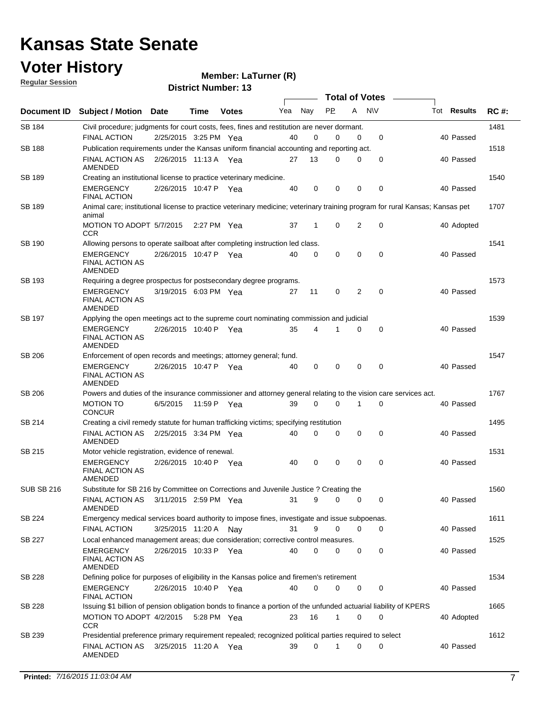### **Voter History**

**Regular Session**

**Member: LaTurner (R)** 

| <u>noquial Ocaaloni</u> |                                                                                                                   |                       |             | <b>District Number: 13</b> |     |             |             |                |                  |                                                                                                                              |             |
|-------------------------|-------------------------------------------------------------------------------------------------------------------|-----------------------|-------------|----------------------------|-----|-------------|-------------|----------------|------------------|------------------------------------------------------------------------------------------------------------------------------|-------------|
|                         |                                                                                                                   |                       |             |                            |     |             |             |                | Total of Votes – |                                                                                                                              |             |
| Document ID             | <b>Subject / Motion Date</b>                                                                                      |                       | Time        | <b>Votes</b>               | Yea | Nay         | <b>PP</b>   | A              | <b>NV</b>        | Tot <b>Results</b>                                                                                                           | <b>RC#:</b> |
| SB 184                  | Civil procedure; judgments for court costs, fees, fines and restitution are never dormant.                        |                       |             |                            |     |             |             |                |                  |                                                                                                                              | 1481        |
|                         | <b>FINAL ACTION</b>                                                                                               | 2/25/2015 3:25 PM Yea |             |                            | 40  | 0           | $\Omega$    | 0              | 0                | 40 Passed                                                                                                                    |             |
| <b>SB 188</b>           | Publication requirements under the Kansas uniform financial accounting and reporting act.                         |                       |             |                            |     |             |             |                |                  |                                                                                                                              | 1518        |
|                         | <b>FINAL ACTION AS</b><br>AMENDED                                                                                 | 2/26/2015 11:13 A Yea |             |                            | 27  | 13          | 0           | 0              | 0                | 40 Passed                                                                                                                    |             |
| SB 189                  | Creating an institutional license to practice veterinary medicine.                                                |                       |             |                            |     |             |             |                |                  |                                                                                                                              | 1540        |
|                         | <b>EMERGENCY</b><br><b>FINAL ACTION</b>                                                                           | 2/26/2015 10:47 P Yea |             |                            | 40  | $\mathbf 0$ | $\Omega$    | $\mathbf 0$    | 0                | 40 Passed                                                                                                                    |             |
| <b>SB 189</b>           | animal                                                                                                            |                       |             |                            |     |             |             |                |                  | Animal care; institutional license to practice veterinary medicine; veterinary training program for rural Kansas; Kansas pet | 1707        |
|                         | MOTION TO ADOPT 5/7/2015<br><b>CCR</b>                                                                            |                       | 2:27 PM Yea |                            | 37  | 1           | 0           | 2              | 0                | 40 Adopted                                                                                                                   |             |
| <b>SB 190</b>           | Allowing persons to operate sailboat after completing instruction led class.                                      |                       |             |                            |     |             |             |                |                  |                                                                                                                              | 1541        |
|                         | <b>EMERGENCY</b><br><b>FINAL ACTION AS</b><br>AMENDED                                                             | 2/26/2015 10:47 P Yea |             |                            | 40  | 0           | 0           | $\Omega$       | 0                | 40 Passed                                                                                                                    |             |
| SB 193                  | Requiring a degree prospectus for postsecondary degree programs.                                                  |                       |             |                            |     |             |             |                |                  |                                                                                                                              | 1573        |
|                         | <b>EMERGENCY</b><br><b>FINAL ACTION AS</b><br>AMENDED                                                             | 3/19/2015 6:03 PM Yea |             |                            | 27  | 11          | 0           | $\overline{2}$ | $\mathbf 0$      | 40 Passed                                                                                                                    |             |
| SB 197                  | Applying the open meetings act to the supreme court nominating commission and judicial                            |                       |             |                            |     |             |             |                |                  |                                                                                                                              | 1539        |
|                         | <b>EMERGENCY</b><br><b>FINAL ACTION AS</b><br>AMENDED                                                             | 2/26/2015 10:40 P Yea |             |                            | 35  | 4           |             | 0              | 0                | 40 Passed                                                                                                                    |             |
| SB 206                  | Enforcement of open records and meetings; attorney general; fund.                                                 |                       |             |                            |     |             |             |                |                  |                                                                                                                              | 1547        |
|                         | <b>EMERGENCY</b><br><b>FINAL ACTION AS</b><br>AMENDED                                                             | 2/26/2015 10:47 P Yea |             |                            | 40  | $\mathbf 0$ | 0           | $\mathbf 0$    | $\mathbf 0$      | 40 Passed                                                                                                                    |             |
| SB 206                  | Powers and duties of the insurance commissioner and attorney general relating to the vision care services act.    |                       |             |                            |     |             |             |                |                  |                                                                                                                              | 1767        |
|                         | <b>MOTION TO</b><br><b>CONCUR</b>                                                                                 | 6/5/2015              |             | 11:59 P Yea                | 39  | 0           | $\Omega$    | 1              | 0                | 40 Passed                                                                                                                    |             |
| SB 214                  | Creating a civil remedy statute for human trafficking victims; specifying restitution                             |                       |             |                            |     |             |             |                |                  |                                                                                                                              | 1495        |
|                         | FINAL ACTION AS<br><b>AMENDED</b>                                                                                 | 2/25/2015 3:34 PM Yea |             |                            | 40  | $\Omega$    | $\Omega$    | $\mathbf 0$    | 0                | 40 Passed                                                                                                                    |             |
| SB 215                  | Motor vehicle registration, evidence of renewal.                                                                  |                       |             |                            |     |             |             |                |                  |                                                                                                                              | 1531        |
|                         | <b>EMERGENCY</b><br><b>FINAL ACTION AS</b><br>AMENDED                                                             | 2/26/2015 10:40 P Yea |             |                            | 40  | $\mathbf 0$ | 0           | $\mathbf 0$    | 0                | 40 Passed                                                                                                                    |             |
| <b>SUB SB 216</b>       | Substitute for SB 216 by Committee on Corrections and Juvenile Justice ? Creating the                             |                       |             |                            |     |             |             |                |                  |                                                                                                                              | 1560        |
|                         | FINAL ACTION AS 3/11/2015 2:59 PM Yea<br><b>AMENDED</b>                                                           |                       |             |                            | 31  | 9           | 0           | 0              | 0                | 40 Passed                                                                                                                    |             |
| SB 224                  | Emergency medical services board authority to impose fines, investigate and issue subpoenas.                      |                       |             |                            |     |             |             |                |                  |                                                                                                                              | 1611        |
|                         | <b>FINAL ACTION</b>                                                                                               | 3/25/2015 11:20 A Nay |             |                            | 31  | 9           | $\Omega$    | $\Omega$       | 0                | 40 Passed                                                                                                                    |             |
| SB 227                  | Local enhanced management areas; due consideration; corrective control measures.                                  |                       |             |                            |     |             |             |                |                  |                                                                                                                              | 1525        |
|                         | <b>EMERGENCY</b><br><b>FINAL ACTION AS</b><br>AMENDED                                                             | 2/26/2015 10:33 P Yea |             |                            | 40  | $\Omega$    | 0           | 0              | 0                | 40 Passed                                                                                                                    |             |
| SB 228                  | Defining police for purposes of eligibility in the Kansas police and firemen's retirement                         |                       |             |                            |     |             |             |                |                  |                                                                                                                              | 1534        |
|                         | <b>EMERGENCY</b><br><b>FINAL ACTION</b>                                                                           | 2/26/2015 10:40 P Yea |             |                            | 40  | 0           | 0           | 0              | 0                | 40 Passed                                                                                                                    |             |
| SB 228                  | Issuing \$1 billion of pension obligation bonds to finance a portion of the unfunded actuarial liability of KPERS |                       |             |                            |     |             |             |                |                  |                                                                                                                              | 1665        |
|                         | MOTION TO ADOPT 4/2/2015 5:28 PM Yea<br><b>CCR</b>                                                                |                       |             |                            | 23  | 16          | $\mathbf 1$ | 0              | 0                | 40 Adopted                                                                                                                   |             |
| SB 239                  | Presidential preference primary requirement repealed; recognized political parties required to select             |                       |             |                            |     |             |             |                |                  |                                                                                                                              | 1612        |
|                         | FINAL ACTION AS<br>AMENDED                                                                                        | 3/25/2015 11:20 A Yea |             |                            | 39  | $\mathbf 0$ | 1           | 0              | 0                | 40 Passed                                                                                                                    |             |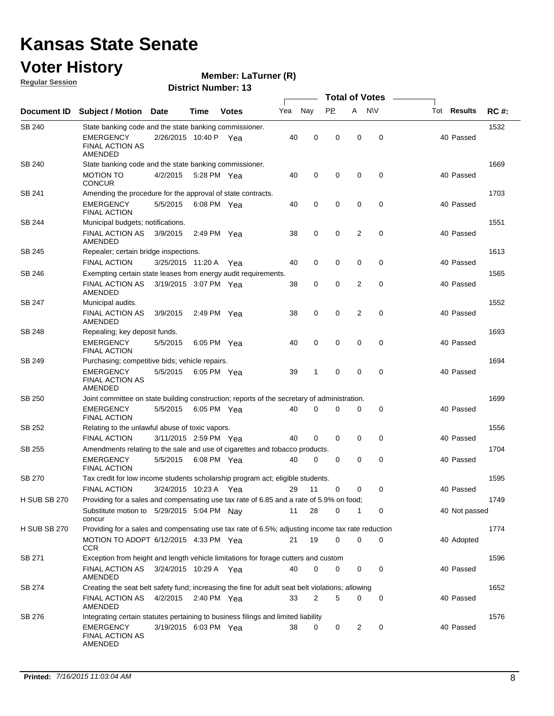### **Voter History**

**Member: LaTurner (R)** 

**Regular Session**

|                     |                                                                                                                                       |                       |               |              |     |             | <b>Total of Votes</b> |   |             |                    |             |
|---------------------|---------------------------------------------------------------------------------------------------------------------------------------|-----------------------|---------------|--------------|-----|-------------|-----------------------|---|-------------|--------------------|-------------|
| <b>Document ID</b>  | <b>Subject / Motion</b>                                                                                                               | Date                  | Time          | <b>Votes</b> | Yea | Nay         | PP.                   | A | <b>NV</b>   | Tot <b>Results</b> | <b>RC#:</b> |
| SB 240              | State banking code and the state banking commissioner.                                                                                |                       |               |              |     |             |                       |   |             |                    | 1532        |
|                     | <b>EMERGENCY</b><br><b>FINAL ACTION AS</b><br>AMENDED                                                                                 | 2/26/2015 10:40 P Yea |               |              | 40  | 0           | 0                     | 0 | 0           | 40 Passed          |             |
| SB 240              | State banking code and the state banking commissioner.                                                                                |                       |               |              |     |             |                       |   |             |                    | 1669        |
|                     | <b>MOTION TO</b><br><b>CONCUR</b>                                                                                                     | 4/2/2015              | 5:28 PM Yea   |              | 40  | $\mathbf 0$ | 0                     | 0 | 0           | 40 Passed          |             |
| SB 241              | Amending the procedure for the approval of state contracts.                                                                           |                       |               |              |     |             |                       |   |             |                    | 1703        |
|                     | <b>EMERGENCY</b><br><b>FINAL ACTION</b>                                                                                               | 5/5/2015              | 6:08 PM Yea   |              | 40  | $\mathbf 0$ | 0                     | 0 | 0           | 40 Passed          |             |
| SB 244              | Municipal budgets; notifications.                                                                                                     |                       |               |              |     |             |                       |   |             |                    | 1551        |
|                     | <b>FINAL ACTION AS</b><br>AMENDED                                                                                                     | 3/9/2015              | 2:49 PM $Yea$ |              | 38  | 0           | 0                     | 2 | 0           | 40 Passed          |             |
| SB 245              | Repealer; certain bridge inspections.                                                                                                 |                       |               |              |     |             |                       |   |             |                    | 1613        |
|                     | <b>FINAL ACTION</b>                                                                                                                   | 3/25/2015 11:20 A Yea |               |              | 40  | 0           | 0                     | 0 | 0           | 40 Passed          |             |
| SB 246              | Exempting certain state leases from energy audit requirements.                                                                        |                       |               |              |     |             |                       |   |             |                    | 1565        |
|                     | <b>FINAL ACTION AS</b><br>AMENDED                                                                                                     | 3/19/2015 3:07 PM Yea |               |              | 38  | 0           | 0                     | 2 | 0           | 40 Passed          |             |
| SB 247              | Municipal audits.                                                                                                                     |                       |               |              |     |             |                       |   |             |                    | 1552        |
|                     | <b>FINAL ACTION AS</b><br>AMENDED                                                                                                     | 3/9/2015              | 2:49 PM Yea   |              | 38  | $\mathbf 0$ | $\mathbf 0$           | 2 | $\mathbf 0$ | 40 Passed          |             |
| SB 248              | Repealing; key deposit funds.                                                                                                         |                       |               |              |     |             |                       |   |             |                    | 1693        |
|                     | EMERGENCY<br><b>FINAL ACTION</b>                                                                                                      | 5/5/2015              | 6:05 PM Yea   |              | 40  | 0           | 0                     | 0 | 0           | 40 Passed          |             |
| SB 249              | Purchasing; competitive bids; vehicle repairs.                                                                                        |                       |               |              |     |             |                       |   |             |                    | 1694        |
|                     | <b>EMERGENCY</b><br>FINAL ACTION AS<br>AMENDED                                                                                        | 5/5/2015              | 6:05 PM Yea   |              | 39  | 1           | 0                     | 0 | $\mathbf 0$ | 40 Passed          |             |
| SB 250              | Joint committee on state building construction; reports of the secretary of administration.                                           |                       |               |              |     |             |                       |   |             |                    | 1699        |
|                     | <b>EMERGENCY</b><br><b>FINAL ACTION</b>                                                                                               | 5/5/2015              | 6:05 PM Yea   |              | 40  | $\mathbf 0$ | $\mathbf 0$           | 0 | 0           | 40 Passed          |             |
| SB 252              | Relating to the unlawful abuse of toxic vapors.                                                                                       |                       |               |              |     |             |                       |   |             |                    | 1556        |
|                     | <b>FINAL ACTION</b>                                                                                                                   | 3/11/2015 2:59 PM Yea |               |              | 40  | $\mathbf 0$ | $\mathbf 0$           | 0 | $\mathbf 0$ | 40 Passed          |             |
| SB 255              | Amendments relating to the sale and use of cigarettes and tobacco products.                                                           |                       |               |              |     |             |                       |   |             |                    | 1704        |
|                     | <b>EMERGENCY</b><br><b>FINAL ACTION</b>                                                                                               | 5/5/2015              | 6:08 PM Yea   |              | 40  | 0           | 0                     | 0 | 0           | 40 Passed          |             |
| SB 270              | Tax credit for low income students scholarship program act; eligible students.                                                        |                       |               |              |     |             |                       |   |             |                    | 1595        |
|                     | <b>FINAL ACTION</b>                                                                                                                   | 3/24/2015 10:23 A Yea |               |              | 29  | 11          | 0                     | 0 | 0           | 40 Passed          |             |
| H SUB SB 270        | Providing for a sales and compensating use tax rate of 6.85 and a rate of 5.9% on food;<br>Substitute motion to 5/29/2015 5:04 PM Nav |                       |               |              | 11  | 28          | 0                     | 1 | 0           | 40 Not passed      | 1749        |
| <b>H SUB SB 270</b> | concur<br>Providing for a sales and compensating use tax rate of 6.5%; adjusting income tax rate reduction                            |                       |               |              |     |             |                       |   |             |                    | 1774        |
|                     | MOTION TO ADOPT 6/12/2015 4:33 PM Yea<br>CCR                                                                                          |                       |               |              | 21  | 19          | $\mathbf 0$           | 0 | 0           | 40 Adopted         |             |
| SB 271              | Exception from height and length vehicle limitations for forage cutters and custom                                                    |                       |               |              |     |             |                       |   |             |                    | 1596        |
|                     | FINAL ACTION AS 3/24/2015 10:29 A Yea<br>AMENDED                                                                                      |                       |               |              | 40  | $\mathbf 0$ | 0                     | 0 | 0           | 40 Passed          |             |
| SB 274              | Creating the seat belt safety fund; increasing the fine for adult seat belt violations; allowing                                      |                       |               |              |     |             |                       |   |             |                    | 1652        |
|                     | FINAL ACTION AS<br>AMENDED                                                                                                            | 4/2/2015              | 2:40 PM $Yea$ |              | 33  | 2           | 5                     | 0 | 0           | 40 Passed          |             |
| SB 276              | Integrating certain statutes pertaining to business filings and limited liability                                                     |                       |               |              |     |             |                       |   |             |                    | 1576        |
|                     | EMERGENCY<br><b>FINAL ACTION AS</b><br>AMENDED                                                                                        | 3/19/2015 6:03 PM Yea |               |              | 38  | 0           | 0                     | 2 | 0           | 40 Passed          |             |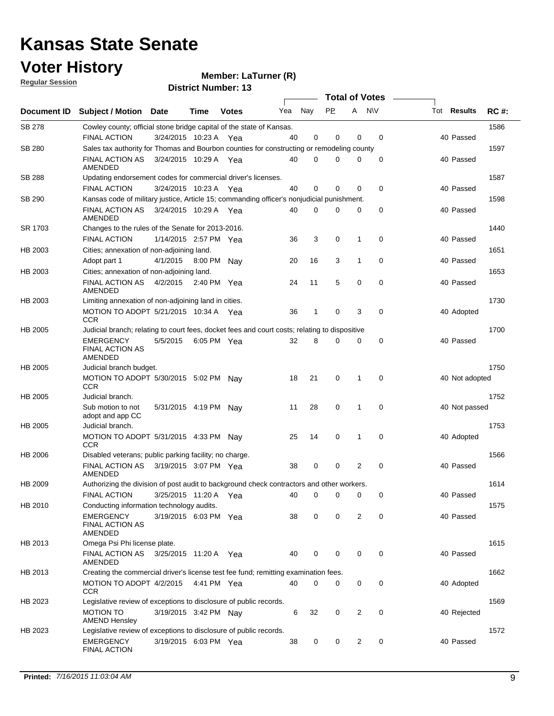### **Voter History**

**Regular Session**

**LaTurner (R)**

| <u>noquial Ocaaloni</u> |                                                                                               |                       |         | <b>District Number: 13</b> |     |             |             |                |                       |                    |             |
|-------------------------|-----------------------------------------------------------------------------------------------|-----------------------|---------|----------------------------|-----|-------------|-------------|----------------|-----------------------|--------------------|-------------|
|                         |                                                                                               |                       |         |                            |     |             |             |                | <b>Total of Votes</b> |                    |             |
| <b>Document ID</b>      | <b>Subject / Motion Date</b>                                                                  |                       | Time    | <b>Votes</b>               | Yea | Nay         | <b>PP</b>   | A              | <b>NV</b>             | Tot <b>Results</b> | <b>RC#:</b> |
| <b>SB 278</b>           | Cowley county; official stone bridge capital of the state of Kansas.                          |                       |         |                            |     |             |             |                |                       |                    | 1586        |
|                         | <b>FINAL ACTION</b>                                                                           | 3/24/2015 10:23 A Yea |         |                            | 40  | 0           | $\mathbf 0$ | $\Omega$       | $\mathbf 0$           | 40 Passed          |             |
| <b>SB 280</b>           | Sales tax authority for Thomas and Bourbon counties for constructing or remodeling county     |                       |         |                            |     |             |             |                |                       |                    | 1597        |
|                         | FINAL ACTION AS<br>AMENDED                                                                    | 3/24/2015 10:29 A Yea |         |                            | 40  | 0           | 0           | 0              | 0                     | 40 Passed          |             |
| SB 288                  | Updating endorsement codes for commercial driver's licenses.                                  |                       |         |                            |     |             |             |                |                       |                    | 1587        |
|                         | <b>FINAL ACTION</b>                                                                           | 3/24/2015 10:23 A Yea |         |                            | 40  | 0           | 0           | 0              | $\mathbf 0$           | 40 Passed          |             |
| SB 290                  | Kansas code of military justice, Article 15; commanding officer's nonjudicial punishment.     |                       |         |                            |     |             |             |                |                       |                    | 1598        |
|                         | <b>FINAL ACTION AS</b><br>AMENDED                                                             | 3/24/2015 10:29 A Yea |         |                            | 40  | 0           | 0           | 0              | $\mathbf 0$           | 40 Passed          |             |
| SR 1703                 | Changes to the rules of the Senate for 2013-2016.                                             |                       |         |                            |     |             |             |                |                       |                    | 1440        |
|                         | <b>FINAL ACTION</b>                                                                           | 1/14/2015 2:57 PM Yea |         |                            | 36  | 3           | 0           | 1              | 0                     | 40 Passed          |             |
| HB 2003                 | Cities; annexation of non-adjoining land.                                                     |                       |         |                            |     |             |             |                |                       |                    | 1651        |
|                         | Adopt part 1                                                                                  | 4/1/2015              | 8:00 PM | Nav                        | 20  | 16          | 3           | 1              | 0                     | 40 Passed          |             |
| HB 2003                 | Cities; annexation of non-adjoining land.                                                     |                       |         |                            |     |             |             |                |                       |                    | 1653        |
|                         | <b>FINAL ACTION AS</b><br>AMENDED                                                             | 4/2/2015              |         | 2:40 PM Yea                | 24  | 11          | 5           | $\mathbf 0$    | $\mathbf 0$           | 40 Passed          |             |
| HB 2003                 | Limiting annexation of non-adjoining land in cities.                                          |                       |         |                            |     |             |             |                |                       |                    | 1730        |
|                         | MOTION TO ADOPT 5/21/2015 10:34 A Yea<br><b>CCR</b>                                           |                       |         |                            | 36  | 1           | 0           | 3              | 0                     | 40 Adopted         |             |
| HB 2005                 | Judicial branch; relating to court fees, docket fees and court costs; relating to dispositive |                       |         |                            |     |             |             |                |                       |                    | 1700        |
|                         | <b>EMERGENCY</b><br><b>FINAL ACTION AS</b><br>AMENDED                                         | 5/5/2015              |         | 6:05 PM Yea                | 32  | 8           | 0           | 0              | $\mathbf 0$           | 40 Passed          |             |
| HB 2005                 | Judicial branch budget.                                                                       |                       |         |                            |     |             |             |                |                       |                    | 1750        |
|                         | MOTION TO ADOPT 5/30/2015 5:02 PM<br><b>CCR</b>                                               |                       |         | Nav                        | 18  | 21          | 0           | 1              | $\mathbf 0$           | 40 Not adopted     |             |
| HB 2005                 | Judicial branch.                                                                              |                       |         |                            |     |             |             |                |                       |                    | 1752        |
|                         | Sub motion to not<br>adopt and app CC                                                         | 5/31/2015 4:19 PM     |         | Nay                        | 11  | 28          | 0           | $\mathbf 1$    | $\mathbf 0$           | 40 Not passed      |             |
| HB 2005                 | Judicial branch.                                                                              |                       |         |                            |     |             |             |                |                       |                    | 1753        |
|                         | MOTION TO ADOPT 5/31/2015 4:33 PM Nay<br><b>CCR</b>                                           |                       |         |                            | 25  | 14          | 0           | 1              | $\mathbf 0$           | 40 Adopted         |             |
| HB 2006                 | Disabled veterans; public parking facility; no charge.                                        |                       |         |                            |     |             |             |                |                       |                    | 1566        |
|                         | FINAL ACTION AS<br>AMENDED                                                                    | 3/19/2015 3:07 PM Yea |         |                            | 38  | 0           | $\mathbf 0$ | $\overline{2}$ | $\mathbf 0$           | 40 Passed          |             |
| HB 2009                 | Authorizing the division of post audit to background check contractors and other workers.     |                       |         |                            |     |             |             |                |                       |                    | 1614        |
|                         | <b>FINAL ACTION</b>                                                                           | 3/25/2015 11:20 A Yea |         |                            | 40  | 0           | 0           | 0              | 0                     | 40 Passed          |             |
| HB 2010                 | Conducting information technology audits.                                                     |                       |         |                            |     |             |             |                |                       |                    | 1575        |
|                         | EMERGENCY<br><b>FINAL ACTION AS</b><br>AMENDED                                                | 3/19/2015 6:03 PM Yea |         |                            | 38  | 0           | 0           | 2              | $\mathbf 0$           | 40 Passed          |             |
| HB 2013                 | Omega Psi Phi license plate.                                                                  |                       |         |                            |     |             |             |                |                       |                    | 1615        |
|                         | FINAL ACTION AS<br>AMENDED                                                                    | 3/25/2015 11:20 A Yea |         |                            | 40  | 0           | 0           | 0              | 0                     | 40 Passed          |             |
| HB 2013                 | Creating the commercial driver's license test fee fund; remitting examination fees.           |                       |         |                            |     |             |             |                |                       |                    | 1662        |
|                         | MOTION TO ADOPT 4/2/2015<br>CCR                                                               |                       |         | 4:41 PM Yea                | 40  | $\mathbf 0$ | 0           | 0              | 0                     | 40 Adopted         |             |
| HB 2023                 | Legislative review of exceptions to disclosure of public records.                             |                       |         |                            |     |             |             |                |                       |                    | 1569        |
|                         | <b>MOTION TO</b><br><b>AMEND Hensley</b>                                                      | 3/19/2015 3:42 PM Nay |         |                            | 6   | 32          | 0           | 2              | 0                     | 40 Rejected        |             |
| HB 2023                 | Legislative review of exceptions to disclosure of public records.                             |                       |         |                            |     |             |             |                |                       |                    | 1572        |
|                         | EMERGENCY<br>FINAL ACTION                                                                     | 3/19/2015 6:03 PM Yea |         |                            | 38  | 0           | 0           | 2              | 0                     | 40 Passed          |             |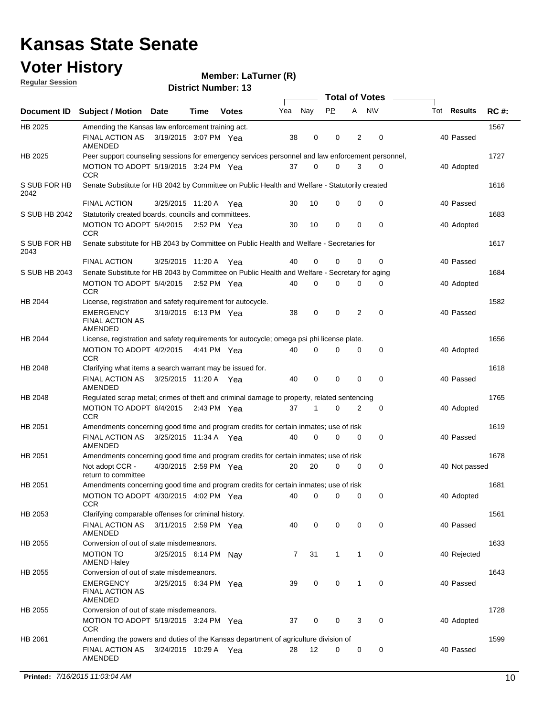### **Voter History**

**Member: LaTurner (R)** 

**Regular Session**

|                      |                                                                                                  |                       |               |              |     |          | <b>Total of Votes</b> |                |             |             |               |             |
|----------------------|--------------------------------------------------------------------------------------------------|-----------------------|---------------|--------------|-----|----------|-----------------------|----------------|-------------|-------------|---------------|-------------|
|                      | Document ID Subject / Motion Date                                                                |                       | Time          | <b>Votes</b> | Yea | Nay      | PP.                   | A              | <b>NV</b>   | Tot Results |               | <b>RC#:</b> |
| HB 2025              | Amending the Kansas law enforcement training act.                                                |                       |               |              |     |          |                       |                |             |             |               | 1567        |
|                      | FINAL ACTION AS<br>AMENDED                                                                       | 3/19/2015 3:07 PM Yea |               |              | 38  | 0        | 0                     | 2              | 0           |             | 40 Passed     |             |
| HB 2025              | Peer support counseling sessions for emergency services personnel and law enforcement personnel, |                       |               |              |     |          |                       |                |             |             |               | 1727        |
|                      | MOTION TO ADOPT 5/19/2015 3:24 PM Yea<br><b>CCR</b>                                              |                       |               |              | 37  | 0        | 0                     | 3              | 0           |             | 40 Adopted    |             |
| S SUB FOR HB<br>2042 | Senate Substitute for HB 2042 by Committee on Public Health and Welfare - Statutorily created    |                       |               |              |     |          |                       |                |             |             |               | 1616        |
|                      | <b>FINAL ACTION</b>                                                                              | 3/25/2015 11:20 A Yea |               |              | 30  | 10       | 0                     | 0              | 0           |             | 40 Passed     |             |
| S SUB HB 2042        | Statutorily created boards, councils and committees.                                             |                       |               |              |     |          |                       |                |             |             |               | 1683        |
|                      | MOTION TO ADOPT 5/4/2015 2:52 PM Yea<br><b>CCR</b>                                               |                       |               |              | 30  | 10       | 0                     | 0              | 0           |             | 40 Adopted    |             |
| S SUB FOR HB<br>2043 | Senate substitute for HB 2043 by Committee on Public Health and Welfare - Secretaries for        |                       |               |              |     |          |                       |                |             |             |               | 1617        |
|                      | <b>FINAL ACTION</b>                                                                              | 3/25/2015 11:20 A Yea |               |              | 40  | 0        | 0                     | 0              | 0           |             | 40 Passed     |             |
| S SUB HB 2043        | Senate Substitute for HB 2043 by Committee on Public Health and Welfare - Secretary for aging    |                       |               |              |     |          |                       |                |             |             |               | 1684        |
|                      | MOTION TO ADOPT 5/4/2015 2:52 PM Yea<br><b>CCR</b>                                               |                       |               |              | 40  | $\Omega$ | 0                     | 0              | 0           |             | 40 Adopted    |             |
| HB 2044              | License, registration and safety requirement for autocycle.                                      |                       |               |              |     |          |                       |                |             |             |               | 1582        |
|                      | EMERGENCY<br><b>FINAL ACTION AS</b><br>AMENDED                                                   | 3/19/2015 6:13 PM Yea |               |              | 38  | 0        | 0                     | $\overline{2}$ | $\mathbf 0$ |             | 40 Passed     |             |
| HB 2044              | License, registration and safety requirements for autocycle; omega psi phi license plate.        |                       |               |              |     |          |                       |                |             |             |               | 1656        |
|                      | MOTION TO ADOPT 4/2/2015<br><b>CCR</b>                                                           |                       | 4:41 PM Yea   |              | 40  | $\Omega$ | $\Omega$              | 0              | 0           |             | 40 Adopted    |             |
| HB 2048              | Clarifying what items a search warrant may be issued for.                                        |                       |               |              |     |          |                       |                |             |             |               | 1618        |
|                      | FINAL ACTION AS<br>AMENDED                                                                       | 3/25/2015 11:20 A Yea |               |              | 40  | 0        | 0                     | 0              | $\mathbf 0$ |             | 40 Passed     |             |
| HB 2048              | Regulated scrap metal; crimes of theft and criminal damage to property, related sentencing       |                       |               |              |     |          |                       |                |             |             |               | 1765        |
|                      | MOTION TO ADOPT 6/4/2015<br><b>CCR</b>                                                           |                       | 2:43 PM $Yea$ |              | 37  | 1        | 0                     | 2              | 0           |             | 40 Adopted    |             |
| HB 2051              | Amendments concerning good time and program credits for certain inmates; use of risk             |                       |               |              |     |          |                       |                |             |             |               | 1619        |
|                      | <b>FINAL ACTION AS</b><br>AMENDED                                                                | 3/25/2015 11:34 A Yea |               |              | 40  | 0        | 0                     | 0              | 0           |             | 40 Passed     |             |
| HB 2051              | Amendments concerning good time and program credits for certain inmates; use of risk             |                       |               |              |     |          |                       |                |             |             |               | 1678        |
|                      | Not adopt CCR -<br>return to committee                                                           | 4/30/2015 2:59 PM Yea |               |              | 20  | 20       | 0                     | 0              | 0           |             | 40 Not passed |             |
| HB 2051              | Amendments concerning good time and program credits for certain inmates; use of risk             |                       |               |              |     |          |                       |                |             |             |               | 1681        |
|                      | MOTION TO ADOPT 4/30/2015 4:02 PM Yea<br><b>CCR</b>                                              |                       |               |              | 40  | 0        | 0                     | 0              | 0           |             | 40 Adopted    |             |
| HB 2053              | Clarifying comparable offenses for criminal history.                                             |                       |               |              |     |          |                       |                |             |             |               | 1561        |
|                      | FINAL ACTION AS<br><b>AMENDED</b>                                                                | 3/11/2015 2:59 PM Yea |               |              | 40  | 0        | 0                     | 0              | 0           |             | 40 Passed     |             |
| HB 2055              | Conversion of out of state misdemeanors.                                                         |                       |               |              |     |          |                       |                |             |             |               | 1633        |
|                      | <b>MOTION TO</b><br><b>AMEND Haley</b>                                                           | 3/25/2015 6:14 PM     |               | Nav          | 7   | 31       | $\mathbf{1}$          | 1              | 0           |             | 40 Rejected   |             |
| HB 2055              | Conversion of out of state misdemeanors.                                                         |                       |               |              |     |          |                       |                |             |             |               | 1643        |
|                      | <b>EMERGENCY</b><br><b>FINAL ACTION AS</b><br>AMENDED                                            | 3/25/2015 6:34 PM Yea |               |              | 39  | 0        | 0                     | 1              | 0           |             | 40 Passed     |             |
| HB 2055              | Conversion of out of state misdemeanors.                                                         |                       |               |              |     |          |                       |                |             |             |               | 1728        |
|                      | MOTION TO ADOPT 5/19/2015 3:24 PM Yea<br><b>CCR</b>                                              |                       |               |              | 37  | 0        | 0                     | 3              | 0           |             | 40 Adopted    |             |
| HB 2061              | Amending the powers and duties of the Kansas department of agriculture division of               |                       |               |              |     |          |                       |                |             |             |               | 1599        |
|                      | FINAL ACTION AS<br>AMENDED                                                                       | 3/24/2015 10:29 A Yea |               |              | 28  | 12       | 0                     | 0              | 0           |             | 40 Passed     |             |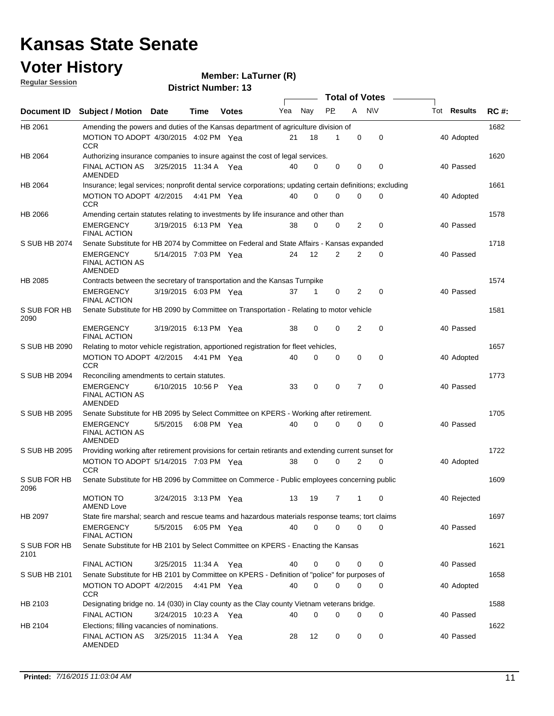#### **Voter History**

#### **LaTurner (R)**

**Regular Session**

| <u>noquial oceanuli</u> |                                                                                                                                      |                       |             | <b>District Number: 13</b> |     |             |           |                |                  |             |             |
|-------------------------|--------------------------------------------------------------------------------------------------------------------------------------|-----------------------|-------------|----------------------------|-----|-------------|-----------|----------------|------------------|-------------|-------------|
|                         |                                                                                                                                      |                       |             |                            |     |             |           |                | Total of Votes – |             |             |
| Document ID             | <b>Subject / Motion Date</b>                                                                                                         |                       | <b>Time</b> | <b>Votes</b>               | Yea | Nay         | <b>PP</b> | A              | <b>NV</b>        | Tot Results | <b>RC#:</b> |
| HB 2061                 | Amending the powers and duties of the Kansas department of agriculture division of                                                   |                       |             |                            |     |             |           |                |                  |             | 1682        |
|                         | MOTION TO ADOPT 4/30/2015 4:02 PM Yea<br><b>CCR</b>                                                                                  |                       |             |                            | 21  | 18          | 1         | 0              | $\mathbf 0$      | 40 Adopted  |             |
| HB 2064                 | Authorizing insurance companies to insure against the cost of legal services.                                                        |                       |             |                            |     |             |           |                |                  |             | 1620        |
|                         | <b>FINAL ACTION AS</b><br>AMENDED                                                                                                    | 3/25/2015 11:34 A Yea |             |                            | 40  | 0           | 0         | 0              | $\mathbf 0$      | 40 Passed   |             |
| HB 2064                 | Insurance; legal services; nonprofit dental service corporations; updating certain definitions; excluding                            |                       |             |                            |     |             |           |                |                  |             | 1661        |
|                         | MOTION TO ADOPT 4/2/2015 4:41 PM Yea<br><b>CCR</b>                                                                                   |                       |             |                            | 40  | $\mathbf 0$ | $\Omega$  | 0              | $\mathbf 0$      | 40 Adopted  |             |
| HB 2066                 | Amending certain statutes relating to investments by life insurance and other than                                                   |                       |             |                            |     |             |           |                |                  |             | 1578        |
|                         | <b>EMERGENCY</b><br><b>FINAL ACTION</b>                                                                                              | 3/19/2015 6:13 PM Yea |             |                            | 38  | 0           | 0         | 2              | 0                | 40 Passed   |             |
| S SUB HB 2074           | Senate Substitute for HB 2074 by Committee on Federal and State Affairs - Kansas expanded                                            |                       |             |                            |     |             |           |                |                  |             | 1718        |
|                         | <b>EMERGENCY</b><br><b>FINAL ACTION AS</b><br>AMENDED                                                                                | 5/14/2015 7:03 PM Yea |             |                            | 24  | 12          | 2         | 2              | 0                | 40 Passed   |             |
| HB 2085                 | Contracts between the secretary of transportation and the Kansas Turnpike                                                            |                       |             |                            |     |             |           |                |                  |             | 1574        |
|                         | <b>EMERGENCY</b><br><b>FINAL ACTION</b>                                                                                              | 3/19/2015 6:03 PM Yea |             |                            | 37  | 1           | 0         | 2              | $\mathbf 0$      | 40 Passed   |             |
| S SUB FOR HB<br>2090    | Senate Substitute for HB 2090 by Committee on Transportation - Relating to motor vehicle                                             |                       |             |                            |     |             |           |                |                  |             | 1581        |
|                         | <b>EMERGENCY</b><br><b>FINAL ACTION</b>                                                                                              | 3/19/2015 6:13 PM Yea |             |                            | 38  | $\Omega$    | 0         | 2              | $\mathbf 0$      | 40 Passed   |             |
| S SUB HB 2090           | Relating to motor vehicle registration, apportioned registration for fleet vehicles,                                                 |                       |             |                            |     |             |           |                |                  |             | 1657        |
|                         | MOTION TO ADOPT 4/2/2015<br><b>CCR</b>                                                                                               |                       | 4:41 PM Yea |                            | 40  | $\mathbf 0$ | $\Omega$  | 0              | $\mathbf 0$      | 40 Adopted  |             |
| S SUB HB 2094           | Reconciling amendments to certain statutes.                                                                                          |                       |             |                            |     |             |           |                |                  |             | 1773        |
|                         | <b>EMERGENCY</b><br><b>FINAL ACTION AS</b><br><b>AMENDED</b>                                                                         | 6/10/2015 10:56 P     |             | Yea                        | 33  | 0           | 0         | $\overline{7}$ | $\mathbf 0$      | 40 Passed   |             |
| S SUB HB 2095           | Senate Substitute for HB 2095 by Select Committee on KPERS - Working after retirement.                                               |                       |             |                            |     |             |           |                |                  |             | 1705        |
|                         | <b>EMERGENCY</b><br><b>FINAL ACTION AS</b><br>AMENDED                                                                                | 5/5/2015              | 6:08 PM Yea |                            | 40  | $\Omega$    | $\Omega$  | 0              | $\mathbf 0$      | 40 Passed   |             |
| S SUB HB 2095           | Providing working after retirement provisions for certain retirants and extending current sunset for                                 |                       |             |                            |     |             |           |                |                  |             | 1722        |
|                         | MOTION TO ADOPT 5/14/2015 7:03 PM Yea<br><b>CCR</b>                                                                                  |                       |             |                            | 38  | 0           | 0         | 2              | 0                | 40 Adopted  |             |
| S SUB FOR HB<br>2096    | Senate Substitute for HB 2096 by Committee on Commerce - Public employees concerning public                                          |                       |             |                            |     |             |           |                |                  |             | 1609        |
|                         | <b>MOTION TO</b><br><b>AMEND Love</b>                                                                                                | 3/24/2015 3:13 PM Yea |             |                            | 13  | 19          | 7         | $\mathbf 1$    | 0                | 40 Rejected |             |
| HB 2097                 | State fire marshal; search and rescue teams and hazardous materials response teams; tort claims                                      |                       |             |                            |     |             |           |                |                  |             | 1697        |
|                         | EMERGENCY<br><b>FINAL ACTION</b>                                                                                                     | 5/5/2015 6:05 PM Yea  |             |                            | 40  | 0           | 0         | 0              | $\mathbf 0$      | 40 Passed   |             |
| S SUB FOR HB<br>2101    | Senate Substitute for HB 2101 by Select Committee on KPERS - Enacting the Kansas                                                     |                       |             |                            |     |             |           |                |                  |             | 1621        |
|                         | FINAL ACTION                                                                                                                         | 3/25/2015 11:34 A Yea |             |                            | 40  | 0           | 0         | 0              | 0                | 40 Passed   |             |
| S SUB HB 2101           | Senate Substitute for HB 2101 by Committee on KPERS - Definition of "police" for purposes of<br>MOTION TO ADOPT 4/2/2015 4:41 PM Yea |                       |             |                            | 40  | 0           | 0         | 0              | 0                | 40 Adopted  | 1658        |
| HB 2103                 | <b>CCR</b><br>Designating bridge no. 14 (030) in Clay county as the Clay county Vietnam veterans bridge.                             |                       |             |                            |     |             |           |                |                  |             | 1588        |
|                         | <b>FINAL ACTION</b>                                                                                                                  | 3/24/2015 10:23 A Yea |             |                            | 40  | $\mathbf 0$ | 0         | 0              | 0                | 40 Passed   |             |
| HB 2104                 | Elections; filling vacancies of nominations.                                                                                         |                       |             |                            |     |             |           |                |                  |             | 1622        |
|                         | FINAL ACTION AS<br>AMENDED                                                                                                           | 3/25/2015 11:34 A Yea |             |                            | 28  | 12          | 0         | 0              | 0                | 40 Passed   |             |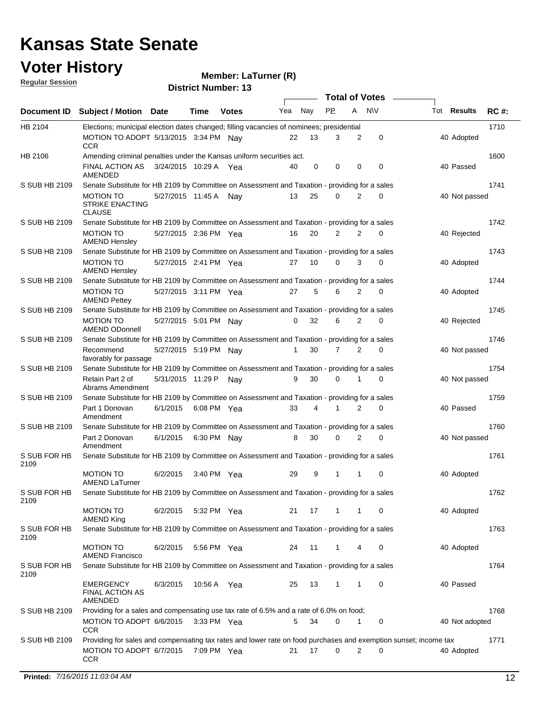### **Voter History**

#### **Member: LaTurner (R)**

**Regular Session**

|                      |                                                                                                                                     |                       |             |              |     |     | <b>Total of Votes</b> |                |             |                    |             |
|----------------------|-------------------------------------------------------------------------------------------------------------------------------------|-----------------------|-------------|--------------|-----|-----|-----------------------|----------------|-------------|--------------------|-------------|
| Document ID          | <b>Subject / Motion Date</b>                                                                                                        |                       | Time        | <b>Votes</b> | Yea | Nay | <b>PP</b>             | A              | <b>NV</b>   | Tot <b>Results</b> | <b>RC#:</b> |
| HB 2104              | Elections; municipal election dates changed; filling vacancies of nominees; presidential                                            |                       |             |              |     |     |                       |                |             |                    | 1710        |
|                      | MOTION TO ADOPT 5/13/2015 3:34 PM Nav<br><b>CCR</b>                                                                                 |                       |             |              | 22  | 13  | 3                     | $\overline{2}$ | $\mathbf 0$ | 40 Adopted         |             |
| HB 2106              | Amending criminal penalties under the Kansas uniform securities act.                                                                |                       |             |              |     |     |                       |                |             |                    | 1600        |
|                      | FINAL ACTION AS<br>AMENDED                                                                                                          | 3/24/2015 10:29 A Yea |             |              | 40  | 0   | 0                     | 0              | 0           | 40 Passed          |             |
| S SUB HB 2109        | Senate Substitute for HB 2109 by Committee on Assessment and Taxation - providing for a sales                                       |                       |             |              |     |     |                       |                |             |                    | 1741        |
|                      | MOTION TO<br><b>STRIKE ENACTING</b><br><b>CLAUSE</b>                                                                                | 5/27/2015 11:45 A Nay |             |              | 13  | 25  | $\Omega$              | $\overline{2}$ | $\Omega$    | 40 Not passed      |             |
| S SUB HB 2109        | Senate Substitute for HB 2109 by Committee on Assessment and Taxation - providing for a sales                                       |                       |             |              |     |     |                       |                |             |                    | 1742        |
|                      | <b>MOTION TO</b><br><b>AMEND Hensley</b>                                                                                            | 5/27/2015 2:36 PM Yea |             |              | 16  | 20  | 2                     | $\overline{2}$ | 0           | 40 Rejected        |             |
| S SUB HB 2109        | Senate Substitute for HB 2109 by Committee on Assessment and Taxation - providing for a sales                                       |                       |             |              |     |     |                       |                |             |                    | 1743        |
|                      | <b>MOTION TO</b><br><b>AMEND Hensley</b>                                                                                            | 5/27/2015 2:41 PM Yea |             |              | 27  | 10  | $\Omega$              | 3              | $\Omega$    | 40 Adopted         |             |
| S SUB HB 2109        | Senate Substitute for HB 2109 by Committee on Assessment and Taxation - providing for a sales                                       |                       |             |              |     |     |                       |                |             |                    | 1744        |
|                      | <b>MOTION TO</b><br><b>AMEND Pettey</b>                                                                                             | 5/27/2015 3:11 PM Yea |             |              | 27  | 5   | 6                     | $\overline{2}$ | $\mathbf 0$ | 40 Adopted         |             |
| S SUB HB 2109        | Senate Substitute for HB 2109 by Committee on Assessment and Taxation - providing for a sales                                       |                       |             |              |     |     |                       |                |             |                    | 1745        |
|                      | <b>MOTION TO</b><br><b>AMEND ODonnell</b>                                                                                           | 5/27/2015 5:01 PM Nay |             |              | 0   | 32  | 6                     | 2              | 0           | 40 Rejected        |             |
| S SUB HB 2109        | Senate Substitute for HB 2109 by Committee on Assessment and Taxation - providing for a sales                                       |                       |             |              |     |     |                       |                |             |                    | 1746        |
| S SUB HB 2109        | Recommend<br>favorably for passage<br>Senate Substitute for HB 2109 by Committee on Assessment and Taxation - providing for a sales | 5/27/2015 5:19 PM Nay |             |              | 1   | 30  | 7                     | $\overline{2}$ | $\mathbf 0$ | 40 Not passed      | 1754        |
|                      | Retain Part 2 of                                                                                                                    | 5/31/2015 11:29 P     |             |              | 9   | 30  | $\mathbf 0$           | 1              | $\mathbf 0$ | 40 Not passed      |             |
| S SUB HB 2109        | Abrams Amendment<br>Senate Substitute for HB 2109 by Committee on Assessment and Taxation - providing for a sales                   |                       |             | Nay          |     |     |                       |                |             |                    | 1759        |
|                      | Part 1 Donovan                                                                                                                      | 6/1/2015              | 6:08 PM Yea |              | 33  |     |                       | $\overline{2}$ | 0           | 40 Passed          |             |
| S SUB HB 2109        | Amendment<br>Senate Substitute for HB 2109 by Committee on Assessment and Taxation - providing for a sales                          |                       |             |              |     |     |                       |                |             |                    | 1760        |
|                      | Part 2 Donovan                                                                                                                      | 6/1/2015              | 6:30 PM Nav |              | 8   | 30  | 0                     | 2              | $\mathbf 0$ | 40 Not passed      |             |
| S SUB FOR HB         | Amendment<br>Senate Substitute for HB 2109 by Committee on Assessment and Taxation - providing for a sales                          |                       |             |              |     |     |                       |                |             |                    | 1761        |
| 2109                 |                                                                                                                                     |                       |             |              |     |     |                       |                |             |                    |             |
|                      | <b>MOTION TO</b><br><b>AMEND LaTurner</b>                                                                                           | 6/2/2015              | 3:40 PM Yea |              | 29  | 9   | $\mathbf{1}$          | 1              | 0           | 40 Adopted         |             |
| S SUB FOR HB<br>2109 | Senate Substitute for HB 2109 by Committee on Assessment and Taxation - providing for a sales                                       |                       |             |              |     |     |                       |                |             |                    | 1762        |
|                      | MOTION TO<br><b>AMEND King</b>                                                                                                      | 6/2/2015              | 5:32 PM Yea |              | 21  | 17  | $\mathbf{1}$          | -1             | 0           | 40 Adopted         |             |
| S SUB FOR HB<br>2109 | Senate Substitute for HB 2109 by Committee on Assessment and Taxation - providing for a sales                                       |                       |             |              |     |     |                       |                |             |                    | 1763        |
|                      | <b>MOTION TO</b><br><b>AMEND Francisco</b>                                                                                          | 6/2/2015              | 5:56 PM Yea |              | 24  | 11  | $\mathbf{1}$          | 4              | 0           | 40 Adopted         |             |
| S SUB FOR HB<br>2109 | Senate Substitute for HB 2109 by Committee on Assessment and Taxation - providing for a sales                                       |                       |             |              |     |     |                       |                |             |                    | 1764        |
|                      | <b>EMERGENCY</b><br><b>FINAL ACTION AS</b><br>AMENDED                                                                               | 6/3/2015              | 10:56 A Yea |              | 25  | 13  | $\mathbf{1}$          | 1              | 0           | 40 Passed          |             |
| S SUB HB 2109        | Providing for a sales and compensating use tax rate of 6.5% and a rate of 6.0% on food;                                             |                       |             |              |     |     |                       |                |             |                    | 1768        |
|                      | MOTION TO ADOPT 6/6/2015<br><b>CCR</b>                                                                                              |                       | 3:33 PM Yea |              | 5   | 34  | 0                     | 1              | 0           | 40 Not adopted     |             |
| S SUB HB 2109        | Providing for sales and compensating tax rates and lower rate on food purchases and exemption sunset; income tax                    |                       |             |              |     |     |                       |                |             |                    | 1771        |
|                      | MOTION TO ADOPT 6/7/2015<br><b>CCR</b>                                                                                              |                       | 7:09 PM Yea |              | 21  | 17  | 0                     | 2              | 0           | 40 Adopted         |             |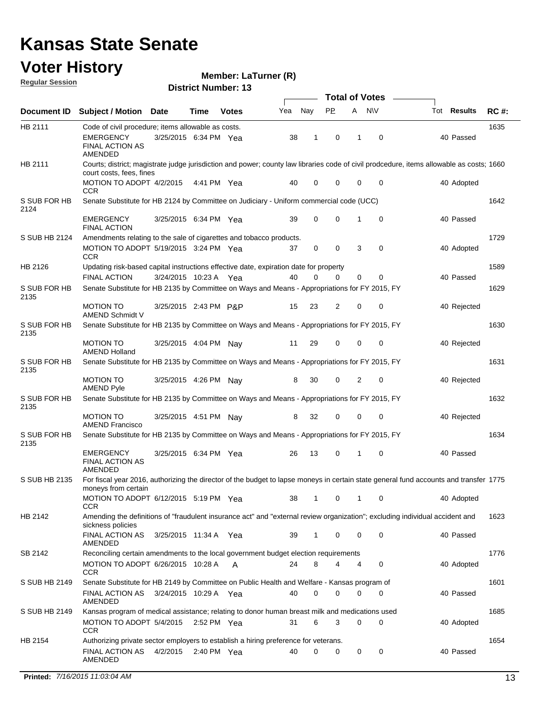### **Voter History**

**Regular Session**

**Member: LaTurner (R)** 

|                      | Document ID Subject / Motion Date                                                              |                         | Time        | <b>Votes</b>  | Yea | Nay | PP. | A              | <b>NV</b>   | Tot Results                                                                                                                              | <b>RC#:</b> |
|----------------------|------------------------------------------------------------------------------------------------|-------------------------|-------------|---------------|-----|-----|-----|----------------|-------------|------------------------------------------------------------------------------------------------------------------------------------------|-------------|
| HB 2111              | Code of civil procedure; items allowable as costs.                                             |                         |             |               |     |     |     |                |             |                                                                                                                                          | 1635        |
|                      | <b>EMERGENCY</b><br><b>FINAL ACTION AS</b><br>AMENDED                                          | 3/25/2015 6:34 PM Yea   |             |               | 38  | 1   | 0   | 1              | 0           | 40 Passed                                                                                                                                |             |
| HB 2111              | court costs, fees, fines                                                                       |                         |             |               |     |     |     |                |             | Courts; district; magistrate judge jurisdiction and power; county law libraries code of civil prodcedure, items allowable as costs; 1660 |             |
|                      | MOTION TO ADOPT 4/2/2015<br><b>CCR</b>                                                         |                         | 4:41 PM Yea |               | 40  | 0   | 0   | $\mathbf 0$    | 0           | 40 Adopted                                                                                                                               |             |
| S SUB FOR HB<br>2124 | Senate Substitute for HB 2124 by Committee on Judiciary - Uniform commercial code (UCC)        |                         |             |               |     |     |     |                |             |                                                                                                                                          | 1642        |
|                      | <b>EMERGENCY</b><br><b>FINAL ACTION</b>                                                        | 3/25/2015 6:34 PM Yea   |             |               | 39  | 0   | 0   | 1              | 0           | 40 Passed                                                                                                                                |             |
| S SUB HB 2124        | Amendments relating to the sale of cigarettes and tobacco products.                            |                         |             |               |     |     |     |                |             |                                                                                                                                          | 1729        |
|                      | MOTION TO ADOPT 5/19/2015 3:24 PM Yea<br><b>CCR</b>                                            |                         |             |               | 37  | 0   | 0   | 3              | 0           | 40 Adopted                                                                                                                               |             |
| HB 2126              | Updating risk-based capital instructions effective date, expiration date for property          |                         |             |               |     |     |     |                |             |                                                                                                                                          | 1589        |
|                      | <b>FINAL ACTION</b>                                                                            | 3/24/2015 10:23 A Yea   |             |               | 40  | 0   | 0   | $\mathbf 0$    | 0           | 40 Passed                                                                                                                                |             |
| S SUB FOR HB<br>2135 | Senate Substitute for HB 2135 by Committee on Ways and Means - Appropriations for FY 2015, FY  |                         |             |               |     |     |     |                |             |                                                                                                                                          | 1629        |
|                      | <b>MOTION TO</b><br>AMEND Schmidt V                                                            | 3/25/2015 2:43 PM P&P   |             |               | 15  | 23  | 2   | 0              | 0           | 40 Rejected                                                                                                                              |             |
| S SUB FOR HB<br>2135 | Senate Substitute for HB 2135 by Committee on Ways and Means - Appropriations for FY 2015, FY  |                         |             |               |     |     |     |                |             |                                                                                                                                          | 1630        |
|                      | <b>MOTION TO</b><br><b>AMEND Holland</b>                                                       | 3/25/2015 4:04 PM Nay   |             |               | 11  | 29  | 0   | $\mathbf 0$    | 0           | 40 Rejected                                                                                                                              |             |
| S SUB FOR HB<br>2135 | Senate Substitute for HB 2135 by Committee on Ways and Means - Appropriations for FY 2015, FY  |                         |             |               |     |     |     |                |             |                                                                                                                                          | 1631        |
|                      | <b>MOTION TO</b><br><b>AMEND Pyle</b>                                                          | 3/25/2015 4:26 PM Nay   |             |               | 8   | 30  | 0   | $\overline{2}$ | $\mathbf 0$ | 40 Rejected                                                                                                                              |             |
| S SUB FOR HB<br>2135 | Senate Substitute for HB 2135 by Committee on Ways and Means - Appropriations for FY 2015, FY  |                         |             |               |     |     |     |                |             |                                                                                                                                          | 1632        |
|                      | <b>MOTION TO</b><br><b>AMEND Francisco</b>                                                     | 3/25/2015  4:51 PM  Nay |             |               | 8   | 32  | 0   | 0              | 0           | 40 Rejected                                                                                                                              |             |
| S SUB FOR HB<br>2135 | Senate Substitute for HB 2135 by Committee on Ways and Means - Appropriations for FY 2015, FY  |                         |             |               |     |     |     |                |             |                                                                                                                                          | 1634        |
|                      | <b>EMERGENCY</b><br><b>FINAL ACTION AS</b><br>AMENDED                                          | 3/25/2015 6:34 PM Yea   |             |               | 26  | 13  | 0   | 1              | 0           | 40 Passed                                                                                                                                |             |
| S SUB HB 2135        | moneys from certain                                                                            |                         |             |               |     |     |     |                |             | For fiscal year 2016, authorizing the director of the budget to lapse moneys in certain state general fund accounts and transfer 1775    |             |
|                      | MOTION TO ADOPT 6/12/2015 5:19 PM Yea 38 1 0 1 0<br>CCR                                        |                         |             |               |     |     |     |                |             | 40 Adopted                                                                                                                               |             |
| HB 2142              |                                                                                                |                         |             |               |     |     |     |                |             | Amending the definitions of "fraudulent insurance act" and "external review organization"; excluding individual accident and             | 1623        |
|                      | sickness policies<br><b>FINAL ACTION AS</b><br><b>AMENDED</b>                                  | 3/25/2015 11:34 A Yea   |             |               | 39  | 1   | 0   | 0              | $\mathbf 0$ | 40 Passed                                                                                                                                |             |
| SB 2142              | Reconciling certain amendments to the local government budget election requirements            |                         |             |               |     |     |     |                |             |                                                                                                                                          | 1776        |
|                      | MOTION TO ADOPT 6/26/2015 10:28 A<br>CCR                                                       |                         |             | A             | 24  | 8   | 4   | 4              | 0           | 40 Adopted                                                                                                                               |             |
| S SUB HB 2149        | Senate Substitute for HB 2149 by Committee on Public Health and Welfare - Kansas program of    |                         |             |               |     |     |     |                |             |                                                                                                                                          | 1601        |
|                      | FINAL ACTION AS<br>AMENDED                                                                     | 3/24/2015 10:29 A Yea   |             |               | 40  | 0   | 0   | 0              | 0           | 40 Passed                                                                                                                                |             |
| S SUB HB 2149        | Kansas program of medical assistance; relating to donor human breast milk and medications used |                         |             |               |     |     |     |                |             |                                                                                                                                          | 1685        |
|                      | MOTION TO ADOPT 5/4/2015 2:52 PM Yea<br><b>CCR</b>                                             |                         |             |               | 31  | 6   | 3   | $\mathbf 0$    | $\mathbf 0$ | 40 Adopted                                                                                                                               |             |
| HB 2154              | Authorizing private sector employers to establish a hiring preference for veterans.            |                         |             |               |     |     |     |                |             |                                                                                                                                          | 1654        |
|                      | FINAL ACTION AS<br>AMENDED                                                                     | 4/2/2015                |             | 2:40 PM $Yea$ | 40  | 0   | 0   | 0              | 0           | 40 Passed                                                                                                                                |             |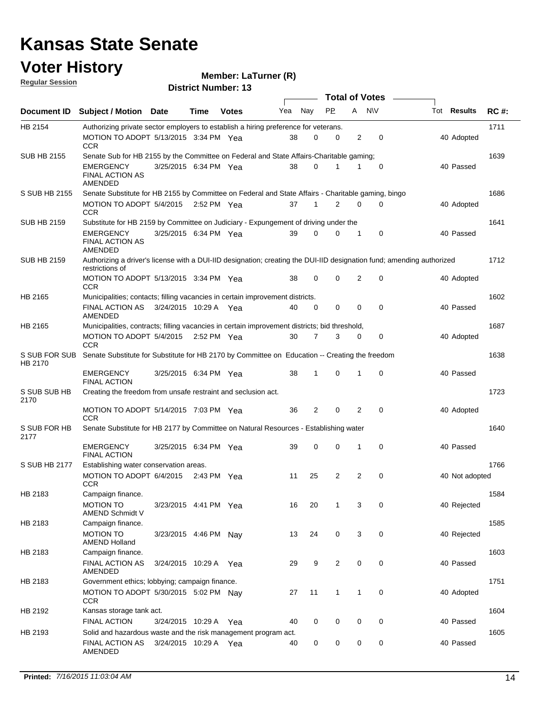#### **Voter History**

#### **Member: LaTurner (R)**

**Document ID** Subject / Motion Date Time Votes Yea Nay PP A NIV Tot Results RC #: **District Number: 13 Date Votes Total of Votes Tot Results Regular Session** Nav 1711 MOTION TO ADOPT 5/13/2015 3:34 PM Yea  $38$  0 0 2 0  $\hspace{1.5cm}40$  Adopted HB 2154 **CCR** Authorizing private sector employers to establish a hiring preference for veterans. 1639 3/25/2015 EMERGENCY Yea 40 6:34 PM 38 0 0 1 1 Passed SUB HB 2155 FINAL ACTION AS AMENDED Senate Sub for HB 2155 by the Committee on Federal and State Affairs-Charitable gaming; 1686 5/4/2015 MOTION TO ADOPT Yea 40 2:52 PM 37 1 0 2 0 Adopted S SUB HB 2155 **CCR** Senate Substitute for HB 2155 by Committee on Federal and State Affairs - Charitable gaming, bingo 1641 3/25/2015 EMERGENCY Yea 40 6:34 PM 39 0 0 0 1 Passed SUB HB 2159 FINAL ACTION AS AMENDED Substitute for HB 2159 by Committee on Judiciary - Expungement of driving under the 1712 MOTION TO ADOPT 5/13/2015 3:34 PM Yea  $38$  0 0 2 0  $\hspace{1.5cm}40$  Adopted SUB HB 2159 **CCR** Authorizing a driver's license with a DUI-IID designation; creating the DUI-IID designation fund; amending authorized restrictions of 1602 FINAL ACTION AS 3/24/2015 10:29 A Yea  $40 \quad 0 \quad 0 \quad 0 \quad 0$ HB 2165 AMENDED Municipalities; contacts; filling vacancies in certain improvement districts. Yea 40 0 0 0 0 40 Passed 1687 5/4/2015 MOTION TO ADOPT Yea 40 2:52 PM 30 7 0 3 0 Adopted HB 2165 CCR Municipalities, contracts; filling vacancies in certain improvement districts; bid threshold, 1638 3/25/2015 EMERGENCY Yea 40 6:34 PM 38 1 0 0 1 Passed S SUB FOR SUB Senate Substitute for Substitute for HB 2170 by Committee on Education -- Creating the freedom HB 2170 FINAL ACTION 1723 MOTION TO ADOPT 5/14/2015 7:03 PM Yea  $36$  2 0 2 0  $\hspace{1.6cm} 2$  40 Adopted S SUB SUB HB 2170 **CCR** Creating the freedom from unsafe restraint and seclusion act. 1640 3/25/2015 EMERGENCY Yea 40 6:34 PM 39 0 0 0 1 Passed S SUB FOR HB 2177 FINAL ACTION Senate Substitute for HB 2177 by Committee on Natural Resources - Establishing water 1766 6/4/2015 MOTION TO ADOPT Yea 40 S SUB HB 2177 **CCR** Establishing water conservation areas. 2:43 PM Yea 11 25 2 2 0 40 Not adopted 1584 3/23/2015 MOTION TO Yea 40 HB 2183 AMEND Schmidt V Campaign finance. Yea 16 20 1 3 0 40 Rejected 1585 MOTION TO 3/23/2015 4:46 PM Nay 13 24 0 3 0 40 HB 2183 AMEND Holland Campaign finance. Nav 13 24 0 3 0 40 Rejected 1603 FINAL ACTION AS 3/24/2015 10:29 A Yea  $29 \t 9 \t 2 \t 0 \t 0$  40 HB 2183 AMENDED Campaign finance. Yea 29 9 2 0 0 2 40 Passed 1751 MOTION TO ADOPT 5/30/2015 5:02 PM Nay 27 11 1 1 0 40 Adopted HB 2183 **CCR** Government ethics; lobbying; campaign finance. 1604 3/24/2015 FINAL ACTION Yea 40 HB 2192 Kansas storage tank act. Yea 40 0 0 0 0 40 Passed 1605 FINAL ACTION AS 3/24/2015 10:29 A Yea  $\,$  40  $\,$  0  $\,$  0  $\,$  0  $\,$  0  $\,$  0  $\,$  0  $\,$  40 Passed HB 2193 AMENDED Solid and hazardous waste and the risk management program act.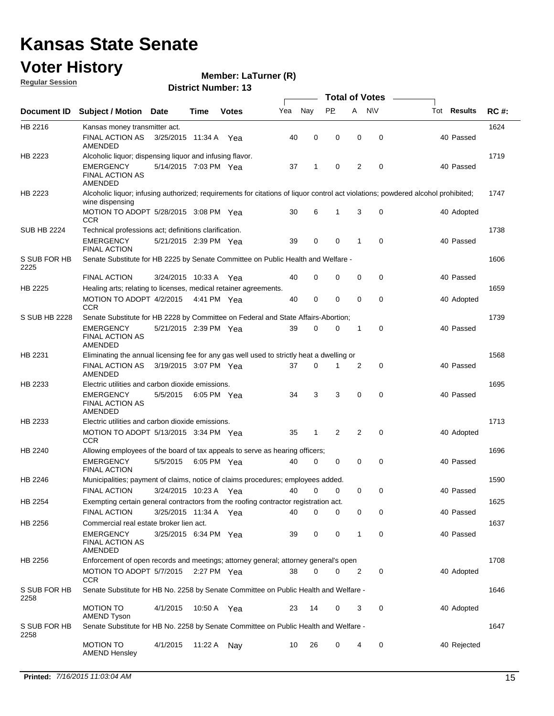### **Voter History**

**Member: LaTurner (R)** 

**Regular Session**

| Document ID          | <b>Subject / Motion Date</b>                                                              |                       | Time        | <b>Votes</b> | Yea | Nay         | <b>PP</b> | A            | <b>NV</b>   | Tot <b>Results</b>                                                                                                               | <b>RC#:</b> |
|----------------------|-------------------------------------------------------------------------------------------|-----------------------|-------------|--------------|-----|-------------|-----------|--------------|-------------|----------------------------------------------------------------------------------------------------------------------------------|-------------|
| HB 2216              | Kansas money transmitter act.                                                             |                       |             |              |     |             |           |              |             |                                                                                                                                  | 1624        |
|                      | FINAL ACTION AS<br>AMENDED                                                                | 3/25/2015 11:34 A     |             | Yea          | 40  | $\mathbf 0$ | 0         | 0            | $\mathbf 0$ | 40 Passed                                                                                                                        |             |
| HB 2223              | Alcoholic liquor; dispensing liquor and infusing flavor.                                  |                       |             |              |     |             |           |              |             |                                                                                                                                  | 1719        |
|                      | <b>EMERGENCY</b><br><b>FINAL ACTION AS</b><br>AMENDED                                     | 5/14/2015 7:03 PM Yea |             |              | 37  | 1           | 0         | 2            | 0           | 40 Passed                                                                                                                        |             |
| HB 2223              | wine dispensing                                                                           |                       |             |              |     |             |           |              |             | Alcoholic liquor; infusing authorized; requirements for citations of liquor control act violations; powdered alcohol prohibited; | 1747        |
|                      | MOTION TO ADOPT 5/28/2015 3:08 PM Yea<br><b>CCR</b>                                       |                       |             |              | 30  | 6           | 1         | 3            | 0           | 40 Adopted                                                                                                                       |             |
| <b>SUB HB 2224</b>   | Technical professions act; definitions clarification.                                     |                       |             |              |     |             |           |              |             |                                                                                                                                  | 1738        |
|                      | <b>EMERGENCY</b><br><b>FINAL ACTION</b>                                                   | 5/21/2015 2:39 PM Yea |             |              | 39  | 0           | 0         | 1            | $\mathbf 0$ | 40 Passed                                                                                                                        |             |
| S SUB FOR HB<br>2225 | Senate Substitute for HB 2225 by Senate Committee on Public Health and Welfare -          |                       |             |              |     |             |           |              |             |                                                                                                                                  | 1606        |
|                      | <b>FINAL ACTION</b>                                                                       | 3/24/2015 10:33 A Yea |             |              | 40  | 0           | 0         | 0            | 0           | 40 Passed                                                                                                                        |             |
| HB 2225              | Healing arts; relating to licenses, medical retainer agreements.                          |                       |             |              |     |             |           |              |             |                                                                                                                                  | 1659        |
|                      | MOTION TO ADOPT 4/2/2015<br><b>CCR</b>                                                    |                       | 4:41 PM Yea |              | 40  | 0           | 0         | 0            | 0           | 40 Adopted                                                                                                                       |             |
| S SUB HB 2228        | Senate Substitute for HB 2228 by Committee on Federal and State Affairs-Abortion;         |                       |             |              |     |             |           |              |             |                                                                                                                                  | 1739        |
|                      | <b>EMERGENCY</b><br><b>FINAL ACTION AS</b><br>AMENDED                                     | 5/21/2015 2:39 PM Yea |             |              | 39  | 0           | 0         | 1            | 0           | 40 Passed                                                                                                                        |             |
| HB 2231              | Eliminating the annual licensing fee for any gas well used to strictly heat a dwelling or |                       |             |              |     |             |           |              |             |                                                                                                                                  | 1568        |
|                      | <b>FINAL ACTION AS</b><br>AMENDED                                                         | 3/19/2015 3:07 PM Yea |             |              | 37  | $\mathbf 0$ | 1         | 2            | 0           | 40 Passed                                                                                                                        |             |
| HB 2233              | Electric utilities and carbon dioxide emissions.                                          |                       |             |              |     |             |           |              |             |                                                                                                                                  | 1695        |
|                      | <b>EMERGENCY</b><br><b>FINAL ACTION AS</b><br>AMENDED                                     | 5/5/2015              | 6:05 PM Yea |              | 34  | 3           | 3         | $\mathbf 0$  | $\mathbf 0$ | 40 Passed                                                                                                                        |             |
| HB 2233              | Electric utilities and carbon dioxide emissions.                                          |                       |             |              |     |             |           |              |             |                                                                                                                                  | 1713        |
|                      | MOTION TO ADOPT 5/13/2015 3:34 PM Yea<br><b>CCR</b>                                       |                       |             |              | 35  | 1           | 2         | 2            | $\mathbf 0$ | 40 Adopted                                                                                                                       |             |
| HB 2240              | Allowing employees of the board of tax appeals to serve as hearing officers;              |                       |             |              |     |             |           |              |             |                                                                                                                                  | 1696        |
|                      | <b>EMERGENCY</b><br><b>FINAL ACTION</b>                                                   | 5/5/2015              | 6:05 PM Yea |              | 40  | 0           | 0         | 0            | 0           | 40 Passed                                                                                                                        |             |
| HB 2246              | Municipalities; payment of claims, notice of claims procedures; employees added.          |                       |             |              |     |             |           |              |             |                                                                                                                                  | 1590        |
|                      | <b>FINAL ACTION</b>                                                                       | 3/24/2015 10:23 A Yea |             |              | 40  | 0           | 0         | 0            | 0           | 40 Passed                                                                                                                        |             |
| HB 2254              | Exempting certain general contractors from the roofing contractor registration act.       |                       |             |              |     |             |           |              |             |                                                                                                                                  | 1625        |
|                      | <b>FINAL ACTION</b>                                                                       | 3/25/2015 11:34 A Yea |             |              | 40  | 0           | 0         | 0            | 0           | 40 Passed                                                                                                                        |             |
| HB 2256              | Commercial real estate broker lien act.                                                   |                       |             |              |     |             |           |              |             |                                                                                                                                  | 1637        |
|                      | <b>EMERGENCY</b><br><b>FINAL ACTION AS</b><br>AMENDED                                     | 3/25/2015 6:34 PM Yea |             |              | 39  | 0           | 0         | $\mathbf{1}$ | 0           | 40 Passed                                                                                                                        |             |
| HB 2256              | Enforcement of open records and meetings; attorney general; attorney general's open       |                       |             |              |     |             |           |              |             |                                                                                                                                  | 1708        |
|                      | MOTION TO ADOPT 5/7/2015<br><b>CCR</b>                                                    |                       | 2:27 PM Yea |              | 38  | 0           | 0         | 2            | 0           | 40 Adopted                                                                                                                       |             |
| S SUB FOR HB<br>2258 | Senate Substitute for HB No. 2258 by Senate Committee on Public Health and Welfare -      |                       |             |              |     |             |           |              |             |                                                                                                                                  | 1646        |
|                      | <b>MOTION TO</b><br><b>AMEND Tyson</b>                                                    | 4/1/2015              | 10:50 A Yea |              | 23  | 14          | 0         | 3            | 0           | 40 Adopted                                                                                                                       |             |
| S SUB FOR HB<br>2258 | Senate Substitute for HB No. 2258 by Senate Committee on Public Health and Welfare -      |                       |             |              |     |             |           |              |             |                                                                                                                                  | 1647        |
|                      | <b>MOTION TO</b><br><b>AMEND Hensley</b>                                                  | 4/1/2015              | 11:22 A Nay |              | 10  | 26          | 0         | 4            | 0           | 40 Rejected                                                                                                                      |             |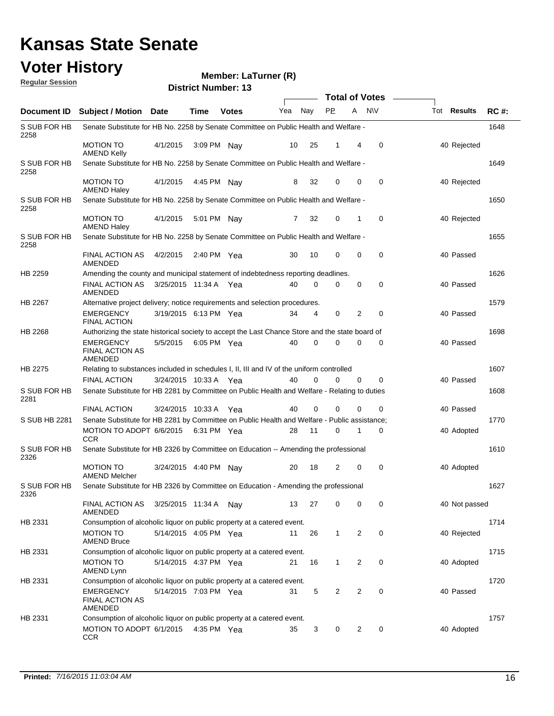#### **Voter History**

#### **Member: LaTurner (R)**

**Document ID** Subject / Motion Date Time Votes Yea Nay PP A NIV Tot Results RC #: **District Number: 13 Date Votes Total of Votes Time Votes** Mea Nay PP A N\V Tot Results **Regular Session** Nav 1648 4/1/2015 S SUB FOR HB 2258 MOTION TO 4/1/2015 3:09 PM Nay 10 25 1 4 0 40 Rejected AMEND Kelly Senate Substitute for HB No. 2258 by Senate Committee on Public Health and Welfare - 1649 MOTION TO 4/1/2015 4:45 PM Nay 8 32 0 0 40 Rejected S SUB FOR HB 2258 AMEND Haley Senate Substitute for HB No. 2258 by Senate Committee on Public Health and Welfare - 1650 MOTION TO 4/1/2015 5:01 PM Nay 7 32 0 1 0 40 Rejected S SUB FOR HB 2258 AMEND Haley Senate Substitute for HB No. 2258 by Senate Committee on Public Health and Welfare - 1655 FINAL ACTION AS 4/2/2015 2:40 PM Yea 40 40 40 A 40 Passed S SUB FOR HB 2258 AMENDED Senate Substitute for HB No. 2258 by Senate Committee on Public Health and Welfare - 1626 FINAL ACTION AS 3/25/2015 11:34 A Yea  $40 \quad 0 \quad 0 \quad 0 \quad 0$ HB 2259 AMENDED Amending the county and municipal statement of indebtedness reporting deadlines. Yea 40 0 0 0 0 40 Passed 1579 3/19/2015 EMERGENCY Yea 40 6:13 PM 34 4 0 0 2 Passed HB 2267 FINAL ACTION Alternative project delivery; notice requirements and selection procedures. 1698 5/5/2015 EMERGENCY Yea 40 6:05 PM 40 0 0 0 0 Passed HB 2268 FINAL ACTION AS AMENDED Authorizing the state historical society to accept the Last Chance Store and the state board of 1607 3/24/2015 FINAL ACTION Yea 40 10:33 A 40 0 0 0 0 Passed HB 2275 Relating to substances included in schedules I, II, III and IV of the uniform controlled 1608 3/24/2015 FINAL ACTION Yea 40 10:33 A 40 0 0 0 0 Passed S SUB FOR HB 2281 Senate Substitute for HB 2281 by Committee on Public Health and Welfare - Relating to duties 1770 6/6/2015 MOTION TO ADOPT Yea 40 6:31 PM 28 11 0 0 1 Adopted S SUB HB 2281 **CCR** Senate Substitute for HB 2281 by Committee on Public Health and Welfare - Public assistance; 1610 MOTION TO 3/24/2015 4:40 PM Nay 20 18 2 0 0 40 Adopted S SUB FOR HB 2326 AMEND Melcher Senate Substitute for HB 2326 by Committee on Education -- Amending the professional 1627 FINAL ACTION AS 3/25/2015 11:34 A Nay 13 27 0 0 40 Not passed S SUB FOR HB 2326 AMENDED Senate Substitute for HB 2326 by Committee on Education - Amending the professional 1714 MOTION TO 5/14/2015 4:05 PM Yea 11 26 1 2 0 40 Rejected HB 2331 AMEND Bruce Consumption of alcoholic liquor on public property at a catered event. 1715 MOTION TO 5/14/2015 4:37 PM Yea 21 16 1 2 0 40 40 Adopted HB 2331 AMEND Lynn Consumption of alcoholic liquor on public property at a catered event. 1720 5/14/2015 EMERGENCY Yea 40 7:03 PM 31 5 0 2 2 Passed HB 2331 FINAL ACTION AS AMENDED Consumption of alcoholic liquor on public property at a catered event. 1757 MOTION TO ADOPT 6/1/2015 4:35 PM Yea 46 4:35 PM Yea 4:35 4:35 PM 135 4:35 PM 136 4:35 PM 136 HB 2331 **CCR** Consumption of alcoholic liquor on public property at a catered event.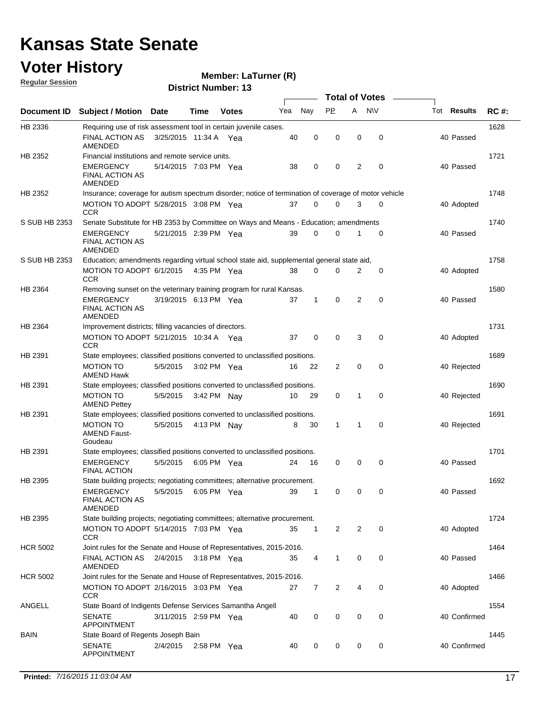### **Voter History**

**Member: LaTurner (R)** 

**Regular Session**

|                 |                                                                                                      | <b>Total of Votes</b> |             |              |     |              |              |   |             |  |                    |             |
|-----------------|------------------------------------------------------------------------------------------------------|-----------------------|-------------|--------------|-----|--------------|--------------|---|-------------|--|--------------------|-------------|
| Document ID     | Subject / Motion Date                                                                                |                       | Time        | <b>Votes</b> | Yea | Nay          | PP.          | A | <b>NV</b>   |  | Tot <b>Results</b> | <b>RC#:</b> |
| HB 2336         | Requiring use of risk assessment tool in certain juvenile cases.                                     |                       |             |              |     |              |              |   |             |  |                    | 1628        |
|                 | FINAL ACTION AS<br>AMENDED                                                                           | 3/25/2015 11:34 A Yea |             |              | 40  | 0            | 0            | 0 | 0           |  | 40 Passed          |             |
| HB 2352         | Financial institutions and remote service units.                                                     |                       |             |              |     |              |              |   |             |  |                    | 1721        |
|                 | <b>EMERGENCY</b><br><b>FINAL ACTION AS</b><br>AMENDED                                                | 5/14/2015 7:03 PM Yea |             |              | 38  | 0            | 0            | 2 | 0           |  | 40 Passed          |             |
| HB 2352         | Insurance; coverage for autism spectrum disorder; notice of termination of coverage of motor vehicle |                       |             |              |     |              |              |   |             |  |                    | 1748        |
|                 | MOTION TO ADOPT 5/28/2015 3:08 PM Yea<br><b>CCR</b>                                                  |                       |             |              | 37  | 0            | $\Omega$     | 3 | 0           |  | 40 Adopted         |             |
| S SUB HB 2353   | Senate Substitute for HB 2353 by Committee on Ways and Means - Education; amendments                 |                       |             |              |     |              |              |   |             |  |                    | 1740        |
|                 | EMERGENCY<br><b>FINAL ACTION AS</b><br>AMENDED                                                       | 5/21/2015 2:39 PM Yea |             |              | 39  | 0            | 0            | 1 | 0           |  | 40 Passed          |             |
| S SUB HB 2353   | 1758<br>Education; amendments regarding virtual school state aid, supplemental general state aid,    |                       |             |              |     |              |              |   |             |  |                    |             |
|                 | MOTION TO ADOPT 6/1/2015 4:35 PM Yea<br><b>CCR</b>                                                   |                       |             |              | 38  | 0            | 0            | 2 | 0           |  | 40 Adopted         |             |
| HB 2364         | Removing sunset on the veterinary training program for rural Kansas.                                 |                       |             |              |     |              |              |   |             |  |                    | 1580        |
|                 | EMERGENCY<br><b>FINAL ACTION AS</b><br>AMENDED                                                       | 3/19/2015 6:13 PM Yea |             |              | 37  | $\mathbf{1}$ | 0            | 2 | 0           |  | 40 Passed          |             |
| HB 2364         | Improvement districts; filling vacancies of directors.                                               |                       |             |              |     |              |              |   |             |  |                    | 1731        |
|                 | MOTION TO ADOPT 5/21/2015 10:34 A Yea<br><b>CCR</b>                                                  |                       |             |              | 37  | $\mathbf 0$  | $\mathbf 0$  | 3 | 0           |  | 40 Adopted         |             |
| HB 2391         | State employees; classified positions converted to unclassified positions.                           |                       |             |              |     |              |              |   |             |  |                    | 1689        |
|                 | <b>MOTION TO</b><br><b>AMEND Hawk</b>                                                                | 5/5/2015              | 3:02 PM Yea |              | 16  | 22           | 2            | 0 | 0           |  | 40 Rejected        |             |
| HB 2391         | State employees; classified positions converted to unclassified positions.                           |                       |             |              |     |              |              |   |             |  |                    | 1690        |
|                 | <b>MOTION TO</b><br><b>AMEND Pettey</b>                                                              | 5/5/2015              | 3:42 PM Nay |              | 10  | 29           | 0            | 1 | 0           |  | 40 Rejected        |             |
| HB 2391         | State employees; classified positions converted to unclassified positions.                           |                       |             |              |     |              |              |   |             |  |                    | 1691        |
|                 | <b>MOTION TO</b><br><b>AMEND Faust-</b><br>Goudeau                                                   | 5/5/2015              | 4:13 PM Nav |              |     | 30<br>8      | 1            | 1 | 0           |  | 40 Rejected        |             |
| HB 2391         | State employees; classified positions converted to unclassified positions.                           |                       |             |              |     |              |              |   |             |  |                    | 1701        |
|                 | <b>EMERGENCY</b><br><b>FINAL ACTION</b>                                                              | 5/5/2015              | 6:05 PM Yea |              | 24  | 16           | 0            | 0 | 0           |  | 40 Passed          |             |
| HB 2395         | State building projects; negotiating committees; alternative procurement.                            |                       |             |              |     |              |              |   |             |  |                    | 1692        |
|                 | <b>EMERGENCY</b><br>FINAL ACTION AS<br>AMENDED                                                       | 5/5/2015              | 6:05 PM Yea |              | 39  | 1            | 0            | 0 | 0           |  | 40 Passed          |             |
| HB 2395         | State building projects; negotiating committees; alternative procurement.                            |                       |             |              |     |              |              |   |             |  |                    | 1724        |
|                 | MOTION TO ADOPT 5/14/2015 7:03 PM Yea<br><b>CCR</b>                                                  |                       |             |              | 35  | $\mathbf{1}$ | 2            | 2 | $\mathbf 0$ |  | 40 Adopted         |             |
| <b>HCR 5002</b> | Joint rules for the Senate and House of Representatives, 2015-2016.                                  |                       |             |              |     |              |              |   |             |  |                    | 1464        |
|                 | FINAL ACTION AS<br>AMENDED                                                                           | 2/4/2015              | 3:18 PM Yea |              | 35  | 4            | $\mathbf{1}$ | 0 | 0           |  | 40 Passed          |             |
| <b>HCR 5002</b> | Joint rules for the Senate and House of Representatives, 2015-2016.                                  |                       |             |              |     |              |              |   |             |  |                    | 1466        |
|                 | MOTION TO ADOPT 2/16/2015 3:03 PM Yea<br><b>CCR</b>                                                  |                       |             |              | 27  | 7            | 2            | 4 | 0           |  | 40 Adopted         |             |
| ANGELL          | State Board of Indigents Defense Services Samantha Angell                                            |                       |             |              |     |              |              |   |             |  |                    | 1554        |
|                 | <b>SENATE</b><br>APPOINTMENT                                                                         | 3/11/2015 2:59 PM Yea |             |              | 40  | 0            | 0            | 0 | 0           |  | 40 Confirmed       |             |
| <b>BAIN</b>     | State Board of Regents Joseph Bain                                                                   |                       |             |              |     |              |              |   |             |  |                    | 1445        |
|                 | <b>SENATE</b><br><b>APPOINTMENT</b>                                                                  | 2/4/2015              |             | 2:58 PM Yea  | 40  | 0            | 0            | 0 | 0           |  | 40 Confirmed       |             |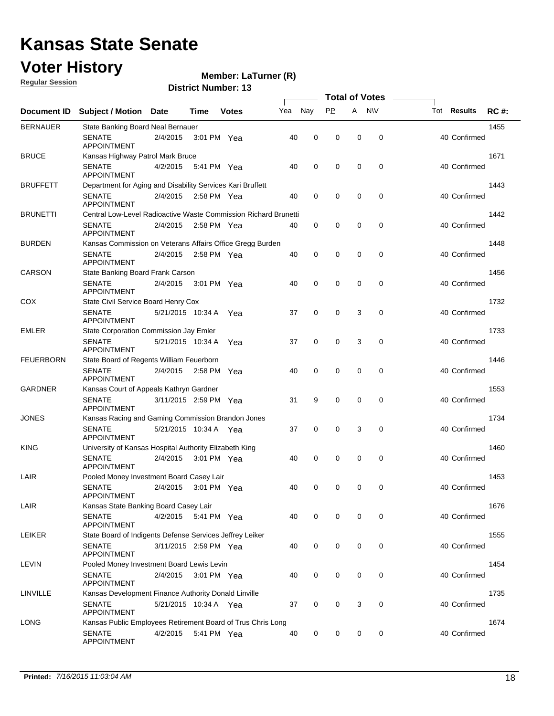### **Voter History**

**Regular Session**

#### **Member: LaTurner (R)**

|                  |                                                                 |                         |               |              |     |             | <b>Total of Votes</b> |   |           |                    |             |
|------------------|-----------------------------------------------------------------|-------------------------|---------------|--------------|-----|-------------|-----------------------|---|-----------|--------------------|-------------|
| Document ID      | <b>Subject / Motion</b>                                         | <b>Date</b>             | Time          | <b>Votes</b> | Yea | Nay         | <b>PP</b>             | A | <b>NV</b> | Tot <b>Results</b> | <b>RC#:</b> |
| <b>BERNAUER</b>  | State Banking Board Neal Bernauer                               |                         |               |              |     |             |                       |   |           |                    | 1455        |
|                  | <b>SENATE</b><br><b>APPOINTMENT</b>                             | 2/4/2015                | 3:01 PM Yea   |              | 40  | 0           | 0                     | 0 | 0         | 40 Confirmed       |             |
| <b>BRUCE</b>     | Kansas Highway Patrol Mark Bruce                                |                         |               |              |     |             |                       |   |           |                    | 1671        |
|                  | <b>SENATE</b><br><b>APPOINTMENT</b>                             | 4/2/2015                | 5:41 PM Yea   |              | 40  | $\mathbf 0$ | 0                     | 0 | 0         | 40 Confirmed       |             |
| <b>BRUFFETT</b>  | Department for Aging and Disability Services Kari Bruffett      |                         |               |              |     |             |                       |   |           |                    | 1443        |
|                  | <b>SENATE</b><br><b>APPOINTMENT</b>                             | 2/4/2015                | $2:58$ PM Yea |              | 40  | 0           | 0                     | 0 | 0         | 40 Confirmed       |             |
| <b>BRUNETTI</b>  | Central Low-Level Radioactive Waste Commission Richard Brunetti |                         |               |              |     |             |                       |   |           |                    |             |
|                  | <b>SENATE</b><br><b>APPOINTMENT</b>                             | 2/4/2015                | 2:58 PM Yea   |              | 40  | 0           | 0                     | 0 | 0         | 40 Confirmed       |             |
| <b>BURDEN</b>    | Kansas Commission on Veterans Affairs Office Gregg Burden       |                         |               |              |     |             |                       |   |           |                    | 1448        |
|                  | <b>SENATE</b><br><b>APPOINTMENT</b>                             | 2/4/2015                | 2:58 PM Yea   |              | 40  | 0           | 0                     | 0 | 0         | 40 Confirmed       |             |
| CARSON           | State Banking Board Frank Carson                                |                         |               |              |     |             |                       |   |           |                    | 1456        |
|                  | <b>SENATE</b><br><b>APPOINTMENT</b>                             | 2/4/2015                | 3:01 PM Yea   |              | 40  | $\mathbf 0$ | 0                     | 0 | 0         | 40 Confirmed       |             |
| <b>COX</b>       | State Civil Service Board Henry Cox                             |                         |               |              |     |             |                       |   |           |                    | 1732        |
|                  | <b>SENATE</b><br><b>APPOINTMENT</b>                             | 5/21/2015 10:34 A       |               | Yea          | 37  | 0           | 0                     | 3 | 0         | 40 Confirmed       |             |
| <b>EMLER</b>     | State Corporation Commission Jay Emler                          |                         |               |              |     |             |                       |   |           |                    | 1733        |
|                  | <b>SENATE</b><br><b>APPOINTMENT</b>                             | 5/21/2015 10:34 A       |               | Yea          | 37  | 0           | 0                     | 3 | 0         | 40 Confirmed       |             |
| <b>FEUERBORN</b> | State Board of Regents William Feuerborn                        |                         |               |              |     |             |                       |   |           |                    | 1446        |
|                  | <b>SENATE</b><br><b>APPOINTMENT</b>                             | 2/4/2015                | 2:58 PM Yea   |              | 40  | 0           | 0                     | 0 | 0         | 40 Confirmed       |             |
| <b>GARDNER</b>   | Kansas Court of Appeals Kathryn Gardner                         |                         |               |              |     |             |                       |   |           |                    | 1553        |
|                  | <b>SENATE</b><br><b>APPOINTMENT</b>                             | 3/11/2015 2:59 PM Yea   |               |              | 31  | 9           | 0                     | 0 | 0         | 40 Confirmed       |             |
| <b>JONES</b>     | Kansas Racing and Gaming Commission Brandon Jones               |                         | 1734          |              |     |             |                       |   |           |                    |             |
|                  | <b>SENATE</b><br><b>APPOINTMENT</b>                             | 5/21/2015  10:34 A  Yea |               |              | 37  | 0           | 0                     | 3 | 0         | 40 Confirmed       |             |
| <b>KING</b>      | University of Kansas Hospital Authority Elizabeth King          |                         |               |              |     |             |                       |   |           |                    | 1460        |
|                  | <b>SENATE</b><br><b>APPOINTMENT</b>                             | 2/4/2015                | 3:01 PM Yea   |              | 40  | 0           | 0                     | 0 | 0         | 40 Confirmed       |             |
| LAIR             | Pooled Money Investment Board Casey Lair                        |                         |               |              |     |             |                       |   |           |                    | 1453        |
|                  | <b>SENATE</b><br>APPOINTMENT                                    | 2/4/2015                | 3:01 PM Yea   |              | 40  | 0           | 0                     | 0 | 0         | 40 Confirmed       |             |
| LAIR             | Kansas State Banking Board Casey Lair                           |                         |               |              |     |             |                       |   |           |                    | 1676        |
|                  | <b>SENATE</b><br><b>APPOINTMENT</b>                             | 4/2/2015 5:41 PM Yea    |               |              | 40  | 0           | 0                     | 0 | 0         | 40 Confirmed       |             |
| <b>LEIKER</b>    | State Board of Indigents Defense Services Jeffrey Leiker        |                         |               |              |     |             |                       |   |           |                    | 1555        |
|                  | <b>SENATE</b><br><b>APPOINTMENT</b>                             | 3/11/2015 2:59 PM Yea   |               |              | 40  | 0           | 0                     | 0 | 0         | 40 Confirmed       |             |
| LEVIN            | Pooled Money Investment Board Lewis Levin                       |                         |               |              |     |             |                       |   |           |                    | 1454        |
|                  | <b>SENATE</b><br>APPOINTMENT                                    | 2/4/2015                | 3:01 PM Yea   |              | 40  | 0           | 0                     | 0 | 0         | 40 Confirmed       |             |
| LINVILLE         | Kansas Development Finance Authority Donald Linville            |                         |               |              |     |             |                       |   |           |                    | 1735        |
|                  | <b>SENATE</b><br><b>APPOINTMENT</b>                             | 5/21/2015 10:34 A Yea   |               |              | 37  | 0           | 0                     | 3 | 0         | 40 Confirmed       |             |
| <b>LONG</b>      | Kansas Public Employees Retirement Board of Trus Chris Long     |                         |               |              |     |             |                       |   |           |                    | 1674        |
|                  | <b>SENATE</b><br><b>APPOINTMENT</b>                             | 4/2/2015                | 5:41 PM Yea   |              | 40  | 0           | 0                     | 0 | 0         | 40 Confirmed       |             |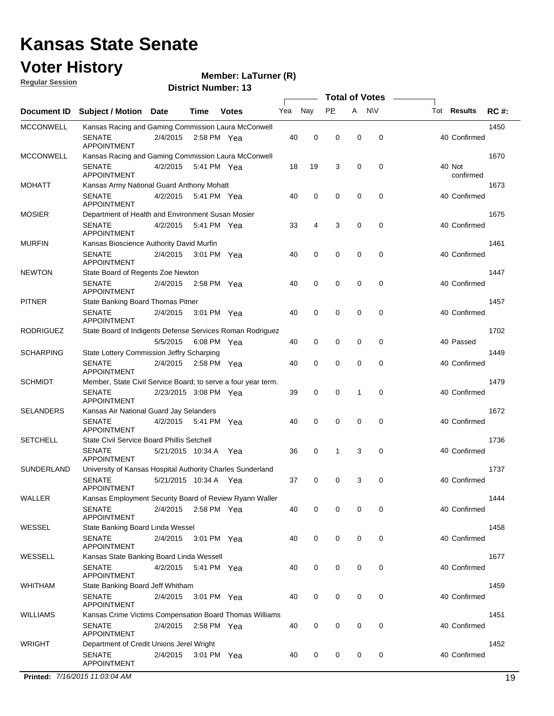#### **Voter History Regular Session**

#### **Member: LaTurner (R)**

**District Number: 13**

|                  |                                                                   |                       |             |               |     |             |           | <b>Total of Votes</b> |             |                     |             |
|------------------|-------------------------------------------------------------------|-----------------------|-------------|---------------|-----|-------------|-----------|-----------------------|-------------|---------------------|-------------|
| Document ID      | <b>Subject / Motion Date</b>                                      |                       | Time        | <b>Votes</b>  | Yea | Nay         | <b>PP</b> | A                     | <b>NV</b>   | Tot Results         | <b>RC#:</b> |
| <b>MCCONWELL</b> | Kansas Racing and Gaming Commission Laura McConwell               |                       |             |               |     |             |           |                       |             |                     | 1450        |
|                  | <b>SENATE</b><br><b>APPOINTMENT</b>                               | 2/4/2015              |             | $2:58$ PM Yea | 40  | 0           | 0         | 0                     | 0           | 40 Confirmed        |             |
| <b>MCCONWELL</b> | Kansas Racing and Gaming Commission Laura McConwell               |                       |             |               |     |             |           |                       |             |                     | 1670        |
|                  | <b>SENATE</b><br>APPOINTMENT                                      | 4/2/2015              | 5:41 PM Yea |               | 18  | 19          | 3         | 0                     | 0           | 40 Not<br>confirmed |             |
| <b>MOHATT</b>    | Kansas Army National Guard Anthony Mohatt                         |                       |             |               |     |             |           |                       |             |                     | 1673        |
|                  | <b>SENATE</b><br><b>APPOINTMENT</b>                               | 4/2/2015              |             | 5:41 PM Yea   | 40  | 0           | 0         | 0                     | 0           | 40 Confirmed        |             |
| <b>MOSIER</b>    | Department of Health and Environment Susan Mosier                 |                       |             |               |     |             |           |                       |             |                     | 1675        |
|                  | <b>SENATE</b><br><b>APPOINTMENT</b>                               | 4/2/2015              |             | 5:41 PM Yea   | 33  | 4           | 3         | 0                     | 0           | 40 Confirmed        |             |
| <b>MURFIN</b>    | Kansas Bioscience Authority David Murfin                          |                       |             |               |     |             |           |                       |             |                     | 1461        |
|                  | <b>SENATE</b><br><b>APPOINTMENT</b>                               | 2/4/2015              |             | 3:01 PM Yea   | 40  | $\mathbf 0$ | 0         | 0                     | 0           | 40 Confirmed        |             |
| <b>NEWTON</b>    | State Board of Regents Zoe Newton                                 |                       |             |               |     |             |           |                       |             |                     | 1447        |
|                  | <b>SENATE</b><br>APPOINTMENT                                      | 2/4/2015 2:58 PM Yea  |             |               | 40  | $\mathbf 0$ | 0         | $\mathbf 0$           | 0           | 40 Confirmed        |             |
| <b>PITNER</b>    | State Banking Board Thomas Pitner                                 |                       |             |               |     |             |           |                       |             |                     | 1457        |
|                  | <b>SENATE</b><br><b>APPOINTMENT</b>                               | 2/4/2015              | 3:01 PM Yea |               | 40  | 0           | 0         | 0                     | $\mathbf 0$ | 40 Confirmed        |             |
| <b>RODRIGUEZ</b> | State Board of Indigents Defense Services Roman Rodriguez         |                       |             |               |     |             |           |                       |             |                     | 1702        |
|                  |                                                                   | 5/5/2015              | 6:08 PM Yea |               | 40  | 0           | 0         | 0                     | 0           | 40 Passed           |             |
| <b>SCHARPING</b> | State Lottery Commission Jeffry Scharping                         |                       |             |               |     |             |           |                       |             |                     | 1449        |
|                  | <b>SENATE</b><br><b>APPOINTMENT</b>                               | 2/4/2015              |             | 2:58 PM Yea   | 40  | 0           | 0         | 0                     | 0           | 40 Confirmed        |             |
| <b>SCHMIDT</b>   | Member, State Civil Service Board; to serve a four year term.     |                       |             |               |     |             |           |                       |             |                     | 1479        |
|                  | <b>SENATE</b><br><b>APPOINTMENT</b>                               | 2/23/2015 3:08 PM Yea |             |               | 39  | $\mathbf 0$ | 0         | 1                     | 0           | 40 Confirmed        |             |
| <b>SELANDERS</b> | Kansas Air National Guard Jay Selanders                           |                       |             |               |     |             |           |                       |             |                     | 1672        |
|                  | <b>SENATE</b><br><b>APPOINTMENT</b>                               | 4/2/2015 5:41 PM Yea  |             |               | 40  | $\mathbf 0$ | 0         | 0                     | $\mathbf 0$ | 40 Confirmed        |             |
| <b>SETCHELL</b>  | State Civil Service Board Phillis Setchell                        |                       |             |               |     |             |           |                       |             |                     | 1736        |
|                  | <b>SENATE</b><br><b>APPOINTMENT</b>                               | 5/21/2015 10:34 A Yea |             |               | 36  | 0           | 1         | 3                     | 0           | 40 Confirmed        |             |
| SUNDERLAND       | University of Kansas Hospital Authority Charles Sunderland        |                       |             |               |     |             |           |                       |             |                     | 1737        |
|                  | <b>SENATE</b><br><b>APPOINTMENT</b>                               | 5/21/2015 10:34 A Yea |             |               | 37  | 0           | 0         | 3                     | 0           | 40 Confirmed        |             |
| WALLER           | Kansas Employment Security Board of Review Ryann Waller           |                       |             |               |     |             |           |                       |             |                     | 1444        |
|                  | SENATE<br><b>APPOINTMENT</b>                                      | 2/4/2015 2:58 PM Yea  |             |               | 40  | 0           | 0         | 0                     | 0           | 40 Confirmed        |             |
| WESSEL           | State Banking Board Linda Wessel                                  |                       |             |               |     |             |           |                       |             |                     | 1458        |
|                  | <b>SENATE</b><br>APPOINTMENT                                      | 2/4/2015 3:01 PM Yea  |             |               | 40  | 0           | 0         | 0                     | 0           | 40 Confirmed        |             |
| WESSELL          | Kansas State Banking Board Linda Wessell                          |                       |             |               |     |             |           |                       |             |                     | 1677        |
|                  | <b>SENATE</b><br>APPOINTMENT                                      | 4/2/2015 5:41 PM Yea  |             |               | 40  | 0           | 0         | 0                     | 0           | 40 Confirmed        |             |
| WHITHAM          | State Banking Board Jeff Whitham                                  |                       |             |               |     |             |           |                       |             |                     | 1459        |
|                  | <b>SENATE</b><br>APPOINTMENT                                      | 2/4/2015 3:01 PM Yea  |             |               | 40  | 0           | 0         | 0                     | 0           | 40 Confirmed        |             |
| <b>WILLIAMS</b>  | Kansas Crime Victims Compensation Board Thomas Williams           |                       |             |               |     |             |           |                       |             |                     | 1451        |
|                  | <b>SENATE</b><br>APPOINTMENT                                      | 2/4/2015 2:58 PM Yea  |             |               | 40  | 0           | 0         | 0                     | 0           | 40 Confirmed        |             |
| <b>WRIGHT</b>    | Department of Credit Unions Jerel Wright<br>SENATE<br>APPOINTMENT | 2/4/2015              |             | 3:01 PM Yea   | 40  | 0           | 0         | 0                     | 0           | 40 Confirmed        | 1452        |

**Printed:** *7/16/2015 11:03:04 AM* 19